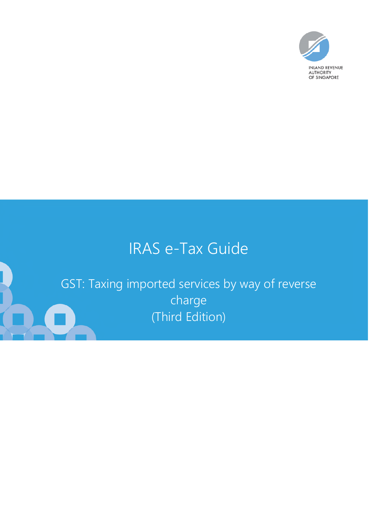

# IRAS e-Tax Guide

GST: Taxing imported services by way of reverse charge (Third Edition)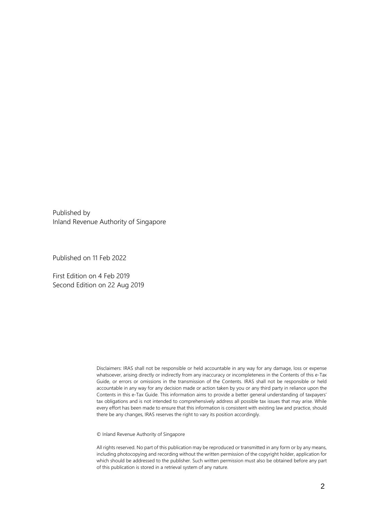Published by Inland Revenue Authority of Singapore

Published on 11 Feb 2022

First Edition on 4 Feb 2019 Second Edition on 22 Aug 2019

> Disclaimers: IRAS shall not be responsible or held accountable in any way for any damage, loss or expense whatsoever, arising directly or indirectly from any inaccuracy or incompleteness in the Contents of this e-Tax Guide, or errors or omissions in the transmission of the Contents. IRAS shall not be responsible or held accountable in any way for any decision made or action taken by you or any third party in reliance upon the Contents in this e-Tax Guide. This information aims to provide a better general understanding of taxpayers' tax obligations and is not intended to comprehensively address all possible tax issues that may arise. While every effort has been made to ensure that this information is consistent with existing law and practice, should there be any changes, IRAS reserves the right to vary its position accordingly.

© Inland Revenue Authority of Singapore

All rights reserved. No part of this publication may be reproduced or transmitted in any form or by any means, including photocopying and recording without the written permission of the copyright holder, application for which should be addressed to the publisher. Such written permission must also be obtained before any part of this publication is stored in a retrieval system of any nature.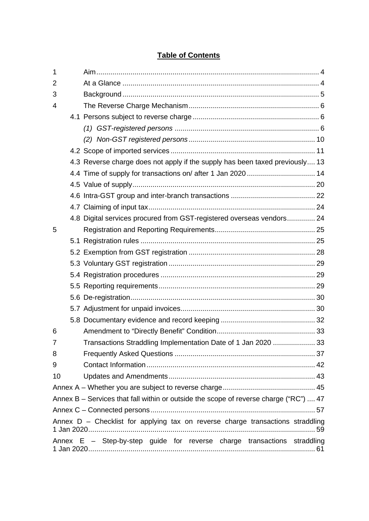# [1 Aim ............................................................................................................... 4](#page-3-0) [2 At a Glance .................................................................................................. 4](#page-3-1) [3 Background .................................................................................................. 5](#page-4-0) [4 The Reverse Charge Mechanism ................................................................. 6](#page-5-0) [4.1 Persons subject to reverse charge ............................................................... 6](#page-5-1) *(1) GST-registered persons* [........................................................................ 6](#page-5-2) *(2) Non-GST registered persons* [............................................................... 10](#page-9-0) [4.2 Scope of imported services ........................................................................ 11](#page-10-0) [4.3 Reverse charge does not apply if the supply has been taxed previously .... 13](#page-12-0) [4.4 Time of supply for transactions on/ after 1 Jan 2020 .................................. 14](#page-13-0) [4.5 Value of supply ........................................................................................... 20](#page-19-0) [4.6 Intra-GST group and inter-branch transactions .......................................... 22](#page-21-0) [4.7 Claiming of input tax ................................................................................... 24](#page-23-0) [4.8 Digital services procured from GST-registered overseas vendors .............. 24](#page-23-1) [5 Registration and Reporting Requirements .................................................. 25](#page-24-0) [5.1 Registration rules ....................................................................................... 25](#page-24-1) [5.2 Exemption from GST registration ............................................................... 28](#page-27-0) [5.3 Voluntary GST registration ......................................................................... 29](#page-28-0) [5.4 Registration procedures ............................................................................. 29](#page-28-1) [5.5 Reporting requirements .............................................................................. 29](#page-28-2) [5.6 De-registration ............................................................................................ 30](#page-29-0) [5.7 Adjustment for unpaid invoices ................................................................... 30](#page-29-1) [5.8 Documentary evidence and record keeping ............................................... 32](#page-31-0) [6 Amendment to "Directly Benefit" Condition ................................................. 33](#page-32-0) [7 Transactions Straddling Implementation Date of 1 Jan 2020 ..................... 33](#page-32-1) [8 Frequently Asked Questions ...................................................................... 37](#page-36-0) [9 Contact Information .................................................................................... 42](#page-41-0) [10 Updates and Amendments ......................................................................... 43](#page-41-1) [Annex A – Whether you are subject to reverse charge .............................................. 45](#page-43-0) [Annex B – Services that fall within or outside the scope of reverse charge \("RC"\) .... 47](#page-46-0) [Annex C – Connected persons .................................................................................. 57](#page-56-0) [Annex D – Checklist for applying tax on reverse charge transactions straddling](#page-58-0)  [1 Jan 2020 ................................................................................................................. 59](#page-58-0) [Annex E – Step-by-step guide for reverse charge transactions straddling](#page-60-0)  [1 Jan 2020 ................................................................................................................. 61](#page-60-0)

## **Table of Contents**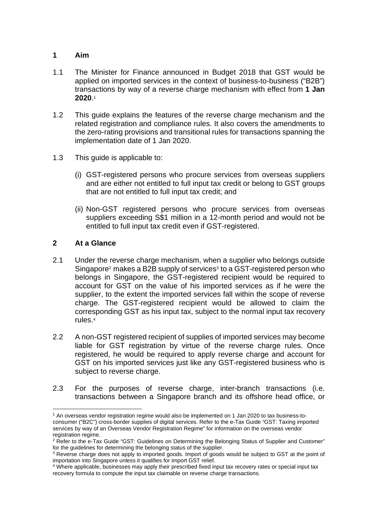## <span id="page-3-0"></span>**1 Aim**

- 1.1 The Minister for Finance announced in Budget 2018 that GST would be applied on imported services in the context of business-to-business ("B2B") transactions by way of a reverse charge mechanism with effect from **1 Jan 2020**. 1
- 1.2 This guide explains the features of the reverse charge mechanism and the related registration and compliance rules. It also covers the amendments to the zero-rating provisions and transitional rules for transactions spanning the implementation date of 1 Jan 2020.
- 1.3 This guide is applicable to:
	- (i) GST-registered persons who procure services from overseas suppliers and are either not entitled to full input tax credit or belong to GST groups that are not entitled to full input tax credit; and
	- (ii) Non-GST registered persons who procure services from overseas suppliers exceeding S\$1 million in a 12-month period and would not be entitled to full input tax credit even if GST-registered.

## <span id="page-3-1"></span>**2 At a Glance**

- 2.1 Under the reverse charge mechanism, when a supplier who belongs outside Singapore<sup>2</sup> makes a B2B supply of services<sup>3</sup> to a GST-registered person who belongs in Singapore, the GST-registered recipient would be required to account for GST on the value of his imported services as if he were the supplier, to the extent the imported services fall within the scope of reverse charge. The GST-registered recipient would be allowed to claim the corresponding GST as his input tax, subject to the normal input tax recovery rules.<sup>4</sup>
- 2.2 A non-GST registered recipient of supplies of imported services may become liable for GST registration by virtue of the reverse charge rules. Once registered, he would be required to apply reverse charge and account for GST on his imported services just like any GST-registered business who is subject to reverse charge.
- 2.3 For the purposes of reverse charge, inter-branch transactions (i.e. transactions between a Singapore branch and its offshore head office, or

<sup>1</sup> An overseas vendor registration regime would also be implemented on 1 Jan 2020 to tax business-toconsumer ("B2C") cross-border supplies of digital services. Refer to the e-Tax Guide "GST: Taxing imported services by way of an Overseas Vendor Registration Regime" for information on the overseas vendor registration regime.

<sup>&</sup>lt;sup>2</sup> Refer to the e-Tax Guide "GST: Guidelines on Determining the Belonging Status of Supplier and Customer" for the guidelines for determining the belonging status of the supplier.

<sup>&</sup>lt;sup>3</sup> Reverse charge does not apply to imported goods. Import of goods would be subject to GST at the point of importation into Singapore unless it qualifies for import GST relief.

<sup>4</sup> Where applicable, businesses may apply their prescribed fixed input tax recovery rates or special input tax recovery formula to compute the input tax claimable on reverse charge transactions.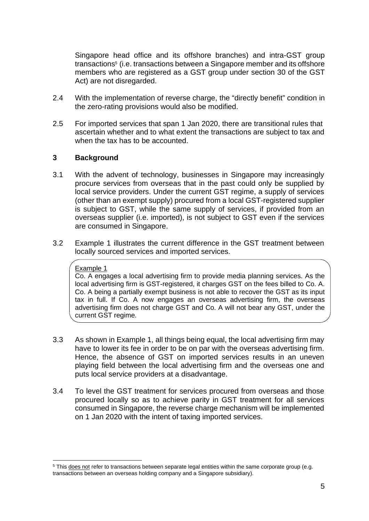Singapore head office and its offshore branches) and intra-GST group transactions<sup>5</sup> (i.e. transactions between a Singapore member and its offshore members who are registered as a GST group under section 30 of the GST Act) are not disregarded.

- 2.4 With the implementation of reverse charge, the "directly benefit" condition in the zero-rating provisions would also be modified.
- 2.5 For imported services that span 1 Jan 2020, there are transitional rules that ascertain whether and to what extent the transactions are subject to tax and when the tax has to be accounted.

## <span id="page-4-0"></span>**3 Background**

- 3.1 With the advent of technology, businesses in Singapore may increasingly procure services from overseas that in the past could only be supplied by local service providers. Under the current GST regime, a supply of services (other than an exempt supply) procured from a local GST-registered supplier is subject to GST, while the same supply of services, if provided from an overseas supplier (i.e. imported), is not subject to GST even if the services are consumed in Singapore.
- 3.2 Example 1 illustrates the current difference in the GST treatment between locally sourced services and imported services.

#### Example 1

Co. A engages a local advertising firm to provide media planning services. As the local advertising firm is GST-registered, it charges GST on the fees billed to Co. A. Co. A being a partially exempt business is not able to recover the GST as its input tax in full. If Co. A now engages an overseas advertising firm, the overseas advertising firm does not charge GST and Co. A will not bear any GST, under the current GST regime.

- 3.3 As shown in Example 1, all things being equal, the local advertising firm may have to lower its fee in order to be on par with the overseas advertising firm. Hence, the absence of GST on imported services results in an uneven playing field between the local advertising firm and the overseas one and puts local service providers at a disadvantage.
- 3.4 To level the GST treatment for services procured from overseas and those procured locally so as to achieve parity in GST treatment for all services consumed in Singapore, the reverse charge mechanism will be implemented on 1 Jan 2020 with the intent of taxing imported services.

<sup>&</sup>lt;sup>5</sup> This does not refer to transactions between separate legal entities within the same corporate group (e.g. transactions between an overseas holding company and a Singapore subsidiary).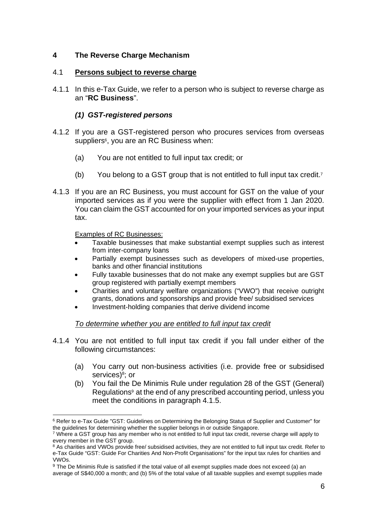## <span id="page-5-0"></span>**4 The Reverse Charge Mechanism**

## <span id="page-5-1"></span>4.1 **Persons subject to reverse charge**

4.1.1 In this e-Tax Guide, we refer to a person who is subject to reverse charge as an "**RC Business**".

## *(1) GST-registered persons*

- <span id="page-5-2"></span>4.1.2 If you are a GST-registered person who procures services from overseas suppliers<sup>6</sup>, you are an RC Business when:
	- (a) You are not entitled to full input tax credit; or
	- (b) You belong to a GST group that is not entitled to full input tax credit.<sup>7</sup>
- 4.1.3 If you are an RC Business, you must account for GST on the value of your imported services as if you were the supplier with effect from 1 Jan 2020. You can claim the GST accounted for on your imported services as your input tax.

Examples of RC Businesses:

- Taxable businesses that make substantial exempt supplies such as interest from inter-company loans
- Partially exempt businesses such as developers of mixed-use properties, banks and other financial institutions
- Fully taxable businesses that do not make any exempt supplies but are GST group registered with partially exempt members
- Charities and voluntary welfare organizations ("VWO") that receive outright grants, donations and sponsorships and provide free/ subsidised services
- Investment-holding companies that derive dividend income

## *To determine whether you are entitled to full input tax credit*

- 4.1.4 You are not entitled to full input tax credit if you fall under either of the following circumstances:
	- (a) You carry out non-business activities (i.e. provide free or subsidised services)<sup>8</sup>; or
	- (b) You fail the De Minimis Rule under regulation 28 of the GST (General) Regulations<sup>9</sup> at the end of any prescribed accounting period, unless you meet the conditions in paragraph 4.1.5.

<sup>&</sup>lt;sup>6</sup> Refer to e-Tax Guide "GST: Guidelines on Determining the Belonging Status of Supplier and Customer" for the guidelines for determining whether the supplier belongs in or outside Singapore.

<sup>&</sup>lt;sup>7</sup> Where a GST group has any member who is not entitled to full input tax credit, reverse charge will apply to every member in the GST group.

<sup>&</sup>lt;sup>8</sup> As charities and VWOs provide free/ subsidised activities, they are not entitled to full input tax credit. Refer to e-Tax Guide "GST: Guide For Charities And Non-Profit Organisations" for the input tax rules for charities and VWOs.

<sup>9</sup> The De Minimis Rule is satisfied if the total value of all exempt supplies made does not exceed (a) an average of S\$40,000 a month; and (b) 5% of the total value of all taxable supplies and exempt supplies made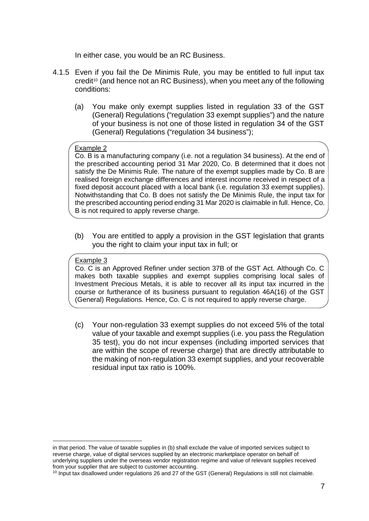In either case, you would be an RC Business.

- 4.1.5 Even if you fail the De Minimis Rule, you may be entitled to full input tax credit<sup>10</sup> (and hence not an RC Business), when you meet any of the following conditions:
	- (a) You make only exempt supplies listed in regulation 33 of the GST (General) Regulations ("regulation 33 exempt supplies") and the nature of your business is not one of those listed in regulation 34 of the GST (General) Regulations ("regulation 34 business");

#### Example 2

Co. B is a manufacturing company (i.e. not a regulation 34 business). At the end of the prescribed accounting period 31 Mar 2020, Co. B determined that it does not satisfy the De Minimis Rule. The nature of the exempt supplies made by Co. B are realised foreign exchange differences and interest income received in respect of a fixed deposit account placed with a local bank (i.e. regulation 33 exempt supplies). Notwithstanding that Co. B does not satisfy the De Minimis Rule, the input tax for the prescribed accounting period ending 31 Mar 2020 is claimable in full. Hence, Co. B is not required to apply reverse charge.

(b) You are entitled to apply a provision in the GST legislation that grants you the right to claim your input tax in full; or

#### Example 3

Co. C is an Approved Refiner under section 37B of the GST Act. Although Co. C makes both taxable supplies and exempt supplies comprising local sales of Investment Precious Metals, it is able to recover all its input tax incurred in the course or furtherance of its business pursuant to regulation 46A(16) of the GST (General) Regulations. Hence, Co. C is not required to apply reverse charge.

(c) Your non-regulation 33 exempt supplies do not exceed 5% of the total value of your taxable and exempt supplies (i.e. you pass the Regulation 35 test), you do not incur expenses (including imported services that are within the scope of reverse charge) that are directly attributable to the making of non-regulation 33 exempt supplies, and your recoverable residual input tax ratio is 100%.

in that period. The value of taxable supplies in (b) shall exclude the value of imported services subject to reverse charge, value of digital services supplied by an electronic marketplace operator on behalf of underlying suppliers under the overseas vendor registration regime and value of relevant supplies received from your supplier that are subject to customer accounting.

 $10$  Input tax disallowed under regulations 26 and 27 of the GST (General) Regulations is still not claimable.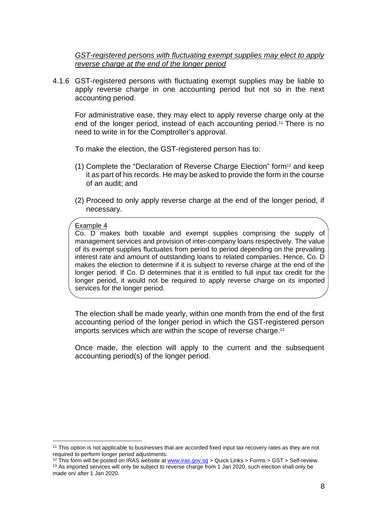*GST-registered persons with fluctuating exempt supplies may elect to apply reverse charge at the end of the longer period* 

4.1.6 GST-registered persons with fluctuating exempt supplies may be liable to apply reverse charge in one accounting period but not so in the next accounting period.

For administrative ease, they may elect to apply reverse charge only at the end of the longer period, instead of each accounting period.<sup>11</sup> There is no need to write in for the Comptroller's approval.

To make the election, the GST-registered person has to:

- (1) Complete the "Declaration of Reverse Charge Election" form12 and keep it as part of his records. He may be asked to provide the form in the course of an audit; and
- (2) Proceed to only apply reverse charge at the end of the longer period, if necessary.

#### Example 4

Co. D makes both taxable and exempt supplies comprising the supply of management services and provision of inter-company loans respectively. The value of its exempt supplies fluctuates from period to period depending on the prevailing interest rate and amount of outstanding loans to related companies. Hence, Co. D makes the election to determine if it is subject to reverse charge at the end of the longer period. If Co. D determines that it is entitled to full input tax credit for the longer period, it would not be required to apply reverse charge on its imported services for the longer period.

The election shall be made yearly, within one month from the end of the first accounting period of the longer period in which the GST-registered person imports services which are within the scope of reverse charge.<sup>13</sup>

Once made, the election will apply to the current and the subsequent accounting period(s) of the longer period.

<sup>&</sup>lt;sup>11</sup> This option is not applicable to businesses that are accorded fixed input tax recovery rates as they are not required to perform longer period adjustments.

<sup>&</sup>lt;sup>12</sup> This form will be posted on IRAS website a[t www.iras.gov.sg](http://www.iras.gov.sg/) > Quick Links > Forms > GST > Self-review. <sup>13</sup> As imported services will only be subject to reverse charge from 1 Jan 2020, such election shall only be made on/ after 1 Jan 2020.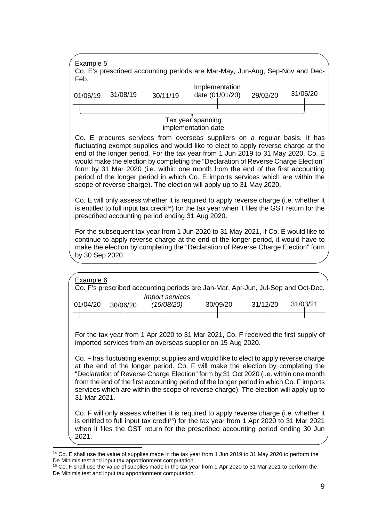

<sup>&</sup>lt;sup>14</sup> Co. E shall use the value of supplies made in the tax year from 1 Jun 2019 to 31 May 2020 to perform the De Minimis test and input tax apportionment computation.

<sup>&</sup>lt;sup>15</sup> Co. F shall use the value of supplies made in the tax year from 1 Apr 2020 to 31 Mar 2021 to perform the De Minimis test and input tax apportionment computation.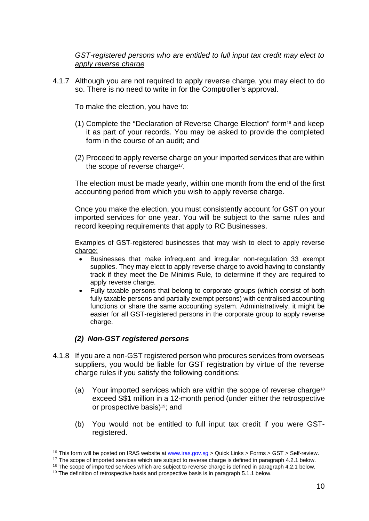*GST-registered persons who are entitled to full input tax credit may elect to apply reverse charge* 

4.1.7 Although you are not required to apply reverse charge, you may elect to do so. There is no need to write in for the Comptroller's approval.

To make the election, you have to:

- (1) Complete the "Declaration of Reverse Charge Election" form16 and keep it as part of your records. You may be asked to provide the completed form in the course of an audit; and
- (2) Proceed to apply reverse charge on your imported services that are within the scope of reverse charge<sup>17</sup>.

The election must be made yearly, within one month from the end of the first accounting period from which you wish to apply reverse charge.

Once you make the election, you must consistently account for GST on your imported services for one year. You will be subject to the same rules and record keeping requirements that apply to RC Businesses.

Examples of GST-registered businesses that may wish to elect to apply reverse charge:

- Businesses that make infrequent and irregular non-regulation 33 exempt supplies. They may elect to apply reverse charge to avoid having to constantly track if they meet the De Minimis Rule, to determine if they are required to apply reverse charge.
- Fully taxable persons that belong to corporate groups (which consist of both fully taxable persons and partially exempt persons) with centralised accounting functions or share the same accounting system. Administratively, it might be easier for all GST-registered persons in the corporate group to apply reverse charge.

## *(2) Non-GST registered persons*

- <span id="page-9-0"></span>4.1.8 If you are a non-GST registered person who procures services from overseas suppliers, you would be liable for GST registration by virtue of the reverse charge rules if you satisfy the following conditions:
	- (a) Your imported services which are within the scope of reverse charge<sup>18</sup> exceed S\$1 million in a 12-month period (under either the retrospective or prospective basis)19; and
	- (b) You would not be entitled to full input tax credit if you were GSTregistered.

<sup>&</sup>lt;sup>16</sup> This form will be posted on IRAS website at [www.iras.gov.sg >](http://www.iras.gov.sg/) Quick Links > Forms > GST > Self-review.

 $17$  The scope of imported services which are subject to reverse charge is defined in paragraph 4.2.1 below.

 $18$  The scope of imported services which are subject to reverse charge is defined in paragraph 4.2.1 below.

 $19$  The definition of retrospective basis and prospective basis is in paragraph 5.1.1 below.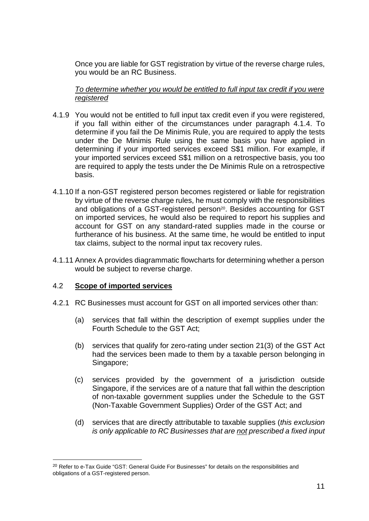Once you are liable for GST registration by virtue of the reverse charge rules, you would be an RC Business.

*To determine whether you would be entitled to full input tax credit if you were registered* 

- 4.1.9 You would not be entitled to full input tax credit even if you were registered, if you fall within either of the circumstances under paragraph 4.1.4. To determine if you fail the De Minimis Rule, you are required to apply the tests under the De Minimis Rule using the same basis you have applied in determining if your imported services exceed S\$1 million. For example, if your imported services exceed S\$1 million on a retrospective basis, you too are required to apply the tests under the De Minimis Rule on a retrospective basis.
- 4.1.10 If a non-GST registered person becomes registered or liable for registration by virtue of the reverse charge rules, he must comply with the responsibilities and obligations of a GST-registered person<sup>20</sup>. Besides accounting for GST on imported services, he would also be required to report his supplies and account for GST on any standard-rated supplies made in the course or furtherance of his business. At the same time, he would be entitled to input tax claims, subject to the normal input tax recovery rules.
- 4.1.11 Annex A provides diagrammatic flowcharts for determining whether a person would be subject to reverse charge.

## <span id="page-10-0"></span>4.2 **Scope of imported services**

- 4.2.1 RC Businesses must account for GST on all imported services other than:
	- (a) services that fall within the description of exempt supplies under the Fourth Schedule to the GST Act;
	- (b) services that qualify for zero-rating under section 21(3) of the GST Act had the services been made to them by a taxable person belonging in Singapore;
	- (c) services provided by the government of a jurisdiction outside Singapore, if the services are of a nature that fall within the description of non-taxable government supplies under the Schedule to the GST (Non-Taxable Government Supplies) Order of the GST Act; and
	- (d) services that are directly attributable to taxable supplies (*this exclusion is only applicable to RC Businesses that are not prescribed a fixed input*

<sup>&</sup>lt;sup>20</sup> Refer to e-Tax Guide "GST: General Guide For Businesses" for details on the responsibilities and obligations of a GST-registered person.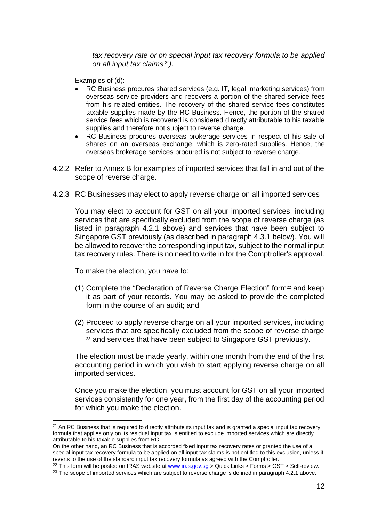*tax recovery rate or on special input tax recovery formula to be applied on all input tax claims 21)*.

Examples of (d):

- RC Business procures shared services (e.g. IT, legal, marketing services) from overseas service providers and recovers a portion of the shared service fees from his related entities. The recovery of the shared service fees constitutes taxable supplies made by the RC Business. Hence, the portion of the shared service fees which is recovered is considered directly attributable to his taxable supplies and therefore not subject to reverse charge.
- RC Business procures overseas brokerage services in respect of his sale of shares on an overseas exchange, which is zero-rated supplies. Hence, the overseas brokerage services procured is not subject to reverse charge.
- 4.2.2 Refer to Annex B for examples of imported services that fall in and out of the scope of reverse charge.

## 4.2.3 RC Businesses may elect to apply reverse charge on all imported services

You may elect to account for GST on all your imported services, including services that are specifically excluded from the scope of reverse charge (as listed in paragraph 4.2.1 above) and services that have been subject to Singapore GST previously (as described in paragraph 4.3.1 below). You will be allowed to recover the corresponding input tax, subject to the normal input tax recovery rules. There is no need to write in for the Comptroller's approval.

To make the election, you have to:

- (1) Complete the "Declaration of Reverse Charge Election" form<sup>22</sup> and keep it as part of your records. You may be asked to provide the completed form in the course of an audit; and
- (2) Proceed to apply reverse charge on all your imported services, including services that are specifically excluded from the scope of reverse charge <sup>23</sup> and services that have been subject to Singapore GST previously.

The election must be made yearly, within one month from the end of the first accounting period in which you wish to start applying reverse charge on all imported services.

Once you make the election, you must account for GST on all your imported services consistently for one year, from the first day of the accounting period for which you make the election.

<sup>22</sup> This form will be posted on IRAS website at [www.iras.gov.sg](http://www.iras.gov.sg/) > Quick Links > Forms > GST > Self-review.

<sup>&</sup>lt;sup>21</sup> An RC Business that is required to directly attribute its input tax and is granted a special input tax recovery formula that applies only on its residual input tax is entitled to exclude imported services which are directly attributable to his taxable supplies from RC.

On the other hand, an RC Business that is accorded fixed input tax recovery rates or granted the use of a special input tax recovery formula to be applied on all input tax claims is not entitled to this exclusion, unless it reverts to the use of the standard input tax recovery formula as agreed with the Comptroller.

 $^{23}$  The scope of imported services which are subject to reverse charge is defined in paragraph 4.2.1 above.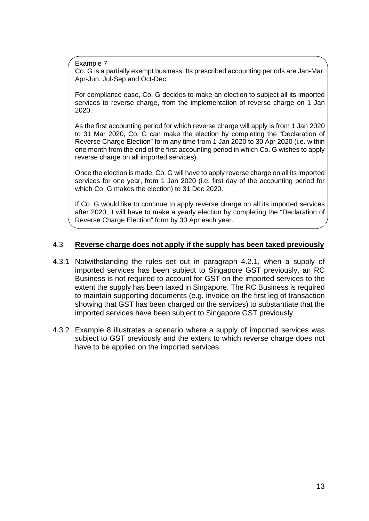Example 7

 $\overline{a}$ 

Co. G is a partially exempt business. Its prescribed accounting periods are Jan-Mar, Apr-Jun, Jul-Sep and Oct-Dec.

For compliance ease, Co. G decides to make an election to subject all its imported services to reverse charge, from the implementation of reverse charge on 1 Jan 2020.

As the first accounting period for which reverse charge will apply is from 1 Jan 2020 to 31 Mar 2020, Co. G can make the election by completing the "Declaration of Reverse Charge Election" form any time from 1 Jan 2020 to 30 Apr 2020 (i.e. within one month from the end of the first accounting period in which Co. G wishes to apply reverse charge on all imported services).

Once the election is made, Co. G will have to apply reverse charge on all its imported services for one year, from 1 Jan 2020 (i.e. first day of the accounting period for which Co. G makes the election) to 31 Dec 2020.

If Co. G would like to continue to apply reverse charge on all its imported services after 2020, it will have to make a yearly election by completing the "Declaration of Reverse Charge Election" form by 30 Apr each year.

#### <span id="page-12-0"></span>4.3 **Reverse charge does not apply if the supply has been taxed previously**

- 4.3.1 Notwithstanding the rules set out in paragraph 4.2.1, when a supply of imported services has been subject to Singapore GST previously, an RC Business is not required to account for GST on the imported services to the extent the supply has been taxed in Singapore. The RC Business is required to maintain supporting documents (e.g. invoice on the first leg of transaction showing that GST has been charged on the services) to substantiate that the imported services have been subject to Singapore GST previously.
- 4.3.2 Example 8 illustrates a scenario where a supply of imported services was subject to GST previously and the extent to which reverse charge does not have to be applied on the imported services.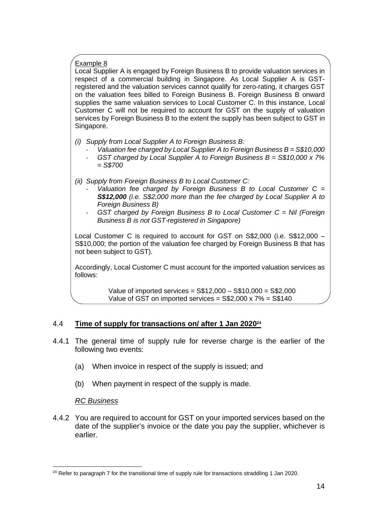## Example 8

Local Supplier A is engaged by Foreign Business B to provide valuation services in respect of a commercial building in Singapore. As Local Supplier A is GSTregistered and the valuation services cannot qualify for zero-rating, it charges GST on the valuation fees billed to Foreign Business B. Foreign Business B onward supplies the same valuation services to Local Customer C. In this instance, Local Customer C will not be required to account for GST on the supply of valuation services by Foreign Business B to the extent the supply has been subject to GST in Singapore.

- *(i) Supply from Local Supplier A to Foreign Business B:* 
	- *Valuation fee charged by Local Supplier A to Foreign Business B = S\$10,000*
	- *GST charged by Local Supplier A to Foreign Business B = S\$10,000 x 7% = S\$700*
- *(ii) Supply from Foreign Business B to Local Customer C:* 
	- *Valuation fee charged by Foreign Business B to Local Customer C = S\$12,000 (i.e. S\$2,000 more than the fee charged by Local Supplier A to Foreign Business B)*
	- *GST charged by Foreign Business B to Local Customer C = Nil (Foreign Business B is not GST-registered in Singapore)*

Local Customer C is required to account for GST on S\$2,000 (i.e. S\$12,000 – S\$10,000; the portion of the valuation fee charged by Foreign Business B that has not been subject to GST).

Accordingly, Local Customer C must account for the imported valuation services as follows:

> Value of imported services = S\$12,000 – S\$10,000 = S\$2,000 Value of GST on imported services =  $$$2,000 \times 7\% = $$140$

## <span id="page-13-0"></span>4.4 **Time of supply for transactions on/ after 1 Jan 2020<sup>24</sup>**

- 4.4.1 The general time of supply rule for reverse charge is the earlier of the following two events:
	- (a) When invoice in respect of the supply is issued; and
	- (b) When payment in respect of the supply is made.

## *RC Business*

4.4.2 You are required to account for GST on your imported services based on the date of the supplier's invoice or the date you pay the supplier, whichever is earlier.

 $24$  Refer to paragraph 7 for the transitional time of supply rule for transactions straddling 1 Jan 2020.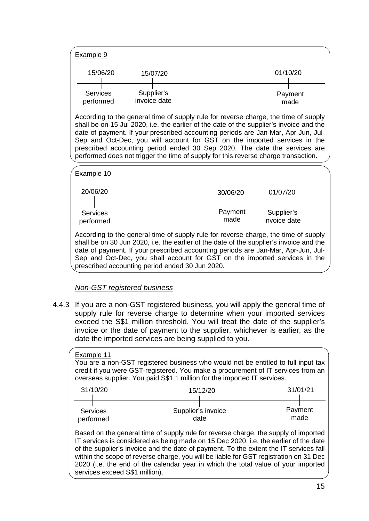| Example 9                    |                            |          |          |                 |
|------------------------------|----------------------------|----------|----------|-----------------|
| 15/06/20                     |                            | 15/07/20 | 01/10/20 |                 |
| <b>Services</b><br>performed | Supplier's<br>invoice date |          |          | Payment<br>made |

According to the general time of supply rule for reverse charge, the time of supply shall be on 15 Jul 2020, i.e. the earlier of the date of the supplier's invoice and the date of payment. If your prescribed accounting periods are Jan-Mar, Apr-Jun, Jul-Sep and Oct-Dec, you will account for GST on the imported services in the prescribed accounting period ended 30 Sep 2020. The date the services are performed does not trigger the time of supply for this reverse charge transaction.



shall be on 30 Jun 2020, i.e. the earlier of the date of the supplier's invoice and the date of payment. If your prescribed accounting periods are Jan-Mar, Apr-Jun, Jul-Sep and Oct-Dec, you shall account for GST on the imported services in the prescribed accounting period ended 30 Jun 2020.

## *Non-GST registered business*

4.4.3 If you are a non-GST registered business, you will apply the general time of supply rule for reverse charge to determine when your imported services exceed the S\$1 million threshold. You will treat the date of the supplier's invoice or the date of payment to the supplier, whichever is earlier, as the date the imported services are being supplied to you.

## Example 11

You are a non-GST registered business who would not be entitled to full input tax credit if you were GST-registered. You make a procurement of IT services from an overseas supplier. You paid S\$1.1 million for the imported IT services.

| 31/10/20        | 15/12/20           | 31/01/21 |
|-----------------|--------------------|----------|
| <b>Services</b> | Supplier's invoice | Payment  |
| performed       | date               | made     |

Based on the general time of supply rule for reverse charge, the supply of imported IT services is considered as being made on 15 Dec 2020, i.e. the earlier of the date of the supplier's invoice and the date of payment. To the extent the IT services fall within the scope of reverse charge, you will be liable for GST registration on 31 Dec 2020 (i.e. the end of the calendar year in which the total value of your imported services exceed S\$1 million).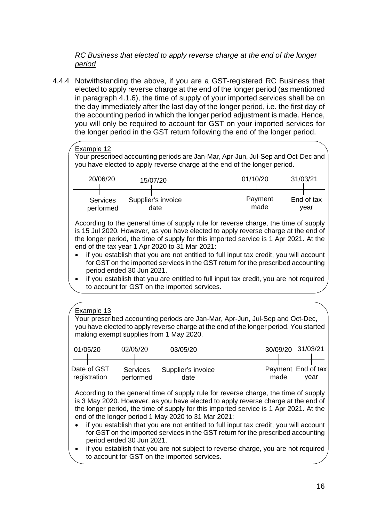## *RC Business that elected to apply reverse charge at the end of the longer period*

4.4.4 Notwithstanding the above, if you are a GST-registered RC Business that elected to apply reverse charge at the end of the longer period (as mentioned in paragraph 4.1.6), the time of supply of your imported services shall be on the day immediately after the last day of the longer period, i.e. the first day of the accounting period in which the longer period adjustment is made. Hence, you will only be required to account for GST on your imported services for the longer period in the GST return following the end of the longer period.



According to the general time of supply rule for reverse charge, the time of supply is 15 Jul 2020. However, as you have elected to apply reverse charge at the end of the longer period, the time of supply for this imported service is 1 Apr 2021. At the end of the tax year 1 Apr 2020 to 31 Mar 2021:

- if you establish that you are not entitled to full input tax credit, you will account for GST on the imported services in the GST return for the prescribed accounting period ended 30 Jun 2021.
- if you establish that you are entitled to full input tax credit, you are not required to account for GST on the imported services.

## Example 13

Your prescribed accounting periods are Jan-Mar, Apr-Jun, Jul-Sep and Oct-Dec, you have elected to apply reverse charge at the end of the longer period. You started making exempt supplies from 1 May 2020.

| 01/05/20                    | 02/05/20                     | 03/05/20                   | 30/09/20 31/03/21                  |
|-----------------------------|------------------------------|----------------------------|------------------------------------|
| Date of GST<br>registration | <b>Services</b><br>performed | Supplier's invoice<br>date | Payment End of tax<br>made<br>vear |

According to the general time of supply rule for reverse charge, the time of supply is 3 May 2020. However, as you have elected to apply reverse charge at the end of the longer period, the time of supply for this imported service is 1 Apr 2021. At the end of the longer period 1 May 2020 to 31 Mar 2021:

- if you establish that you are not entitled to full input tax credit, you will account for GST on the imported services in the GST return for the prescribed accounting period ended 30 Jun 2021.
- if you establish that you are not subject to reverse charge, you are not required to account for GST on the imported services.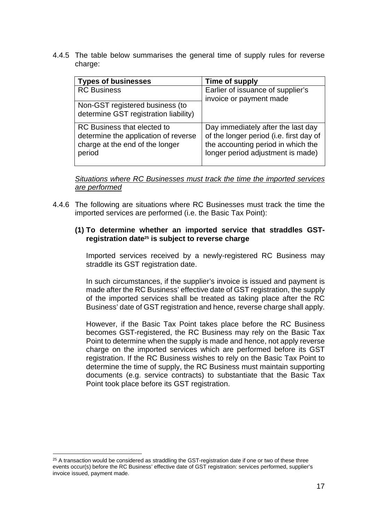4.4.5 The table below summarises the general time of supply rules for reverse charge:

| <b>Types of businesses</b>                                                                                       | Time of supply                                                                                                                                           |
|------------------------------------------------------------------------------------------------------------------|----------------------------------------------------------------------------------------------------------------------------------------------------------|
| <b>RC Business</b>                                                                                               | Earlier of issuance of supplier's<br>invoice or payment made                                                                                             |
| Non-GST registered business (to                                                                                  |                                                                                                                                                          |
| determine GST registration liability)                                                                            |                                                                                                                                                          |
| RC Business that elected to<br>determine the application of reverse<br>charge at the end of the longer<br>period | Day immediately after the last day<br>of the longer period (i.e. first day of<br>the accounting period in which the<br>longer period adjustment is made) |

*Situations where RC Businesses must track the time the imported services are performed* 

4.4.6 The following are situations where RC Businesses must track the time the imported services are performed (i.e. the Basic Tax Point):

## **(1) To determine whether an imported service that straddles GSTregistration date25 is subject to reverse charge**

Imported services received by a newly-registered RC Business may straddle its GST registration date.

In such circumstances, if the supplier's invoice is issued and payment is made after the RC Business' effective date of GST registration, the supply of the imported services shall be treated as taking place after the RC Business' date of GST registration and hence, reverse charge shall apply.

However, if the Basic Tax Point takes place before the RC Business becomes GST-registered, the RC Business may rely on the Basic Tax Point to determine when the supply is made and hence, not apply reverse charge on the imported services which are performed before its GST registration. If the RC Business wishes to rely on the Basic Tax Point to determine the time of supply, the RC Business must maintain supporting documents (e.g. service contracts) to substantiate that the Basic Tax Point took place before its GST registration.

 $25$  A transaction would be considered as straddling the GST-registration date if one or two of these three events occur(s) before the RC Business' effective date of GST registration: services performed, supplier's invoice issued, payment made.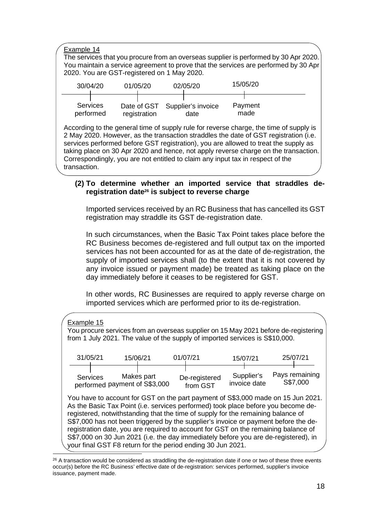Example 14

The services that you procure from an overseas supplier is performed by 30 Apr 2020. You maintain a service agreement to prove that the services are performed by 30 Apr 2020. You are GST-registered on 1 May 2020.

| 30/04/20                     | 01/05/20     | 02/05/20                               | 15/05/20        |  |
|------------------------------|--------------|----------------------------------------|-----------------|--|
| <b>Services</b><br>performed | registration | Date of GST Supplier's invoice<br>date | Payment<br>made |  |

According to the general time of supply rule for reverse charge, the time of supply is 2 May 2020. However, as the transaction straddles the date of GST registration (i.e. services performed before GST registration), you are allowed to treat the supply as taking place on 30 Apr 2020 and hence, not apply reverse charge on the transaction. Correspondingly, you are not entitled to claim any input tax in respect of the transaction.

## **(2) To determine whether an imported service that straddles deregistration date26 is subject to reverse charge**

Imported services received by an RC Business that has cancelled its GST registration may straddle its GST de-registration date.

In such circumstances, when the Basic Tax Point takes place before the RC Business becomes de-registered and full output tax on the imported services has not been accounted for as at the date of de-registration, the supply of imported services shall (to the extent that it is not covered by any invoice issued or payment made) be treated as taking place on the day immediately before it ceases to be registered for GST.

In other words, RC Businesses are required to apply reverse charge on imported services which are performed prior to its de-registration.

| Example 15 |                 |          |                                             |                                                                                                                                                                                                                                                                                                                                                                                                                                                                                                                                                                                              |                            |                            |
|------------|-----------------|----------|---------------------------------------------|----------------------------------------------------------------------------------------------------------------------------------------------------------------------------------------------------------------------------------------------------------------------------------------------------------------------------------------------------------------------------------------------------------------------------------------------------------------------------------------------------------------------------------------------------------------------------------------------|----------------------------|----------------------------|
|            |                 |          |                                             | You procure services from an overseas supplier on 15 May 2021 before de-registering<br>from 1 July 2021. The value of the supply of imported services is S\$10,000.                                                                                                                                                                                                                                                                                                                                                                                                                          |                            |                            |
| 31/05/21   |                 | 15/06/21 |                                             | 01/07/21                                                                                                                                                                                                                                                                                                                                                                                                                                                                                                                                                                                     | 15/07/21                   | 25/07/21                   |
|            | <b>Services</b> |          | Makes part<br>performed payment of S\$3,000 | De-registered<br>from GST                                                                                                                                                                                                                                                                                                                                                                                                                                                                                                                                                                    | Supplier's<br>invoice date | Pays remaining<br>S\$7,000 |
|            |                 |          |                                             | You have to account for GST on the part payment of S\$3,000 made on 15 Jun 2021.<br>As the Basic Tax Point (i.e. services performed) took place before you become de-<br>registered, notwithstanding that the time of supply for the remaining balance of<br>S\$7,000 has not been triggered by the supplier's invoice or payment before the de-<br>registration date, you are required to account for GST on the remaining balance of<br>S\$7,000 on 30 Jun 2021 (i.e. the day immediately before you are de-registered), in<br>your final GST F8 return for the period ending 30 Jun 2021. |                            |                            |

<sup>&</sup>lt;sup>26</sup> A transaction would be considered as straddling the de-registration date if one or two of these three events occur(s) before the RC Business' effective date of de-registration: services performed, supplier's invoice issuance, payment made.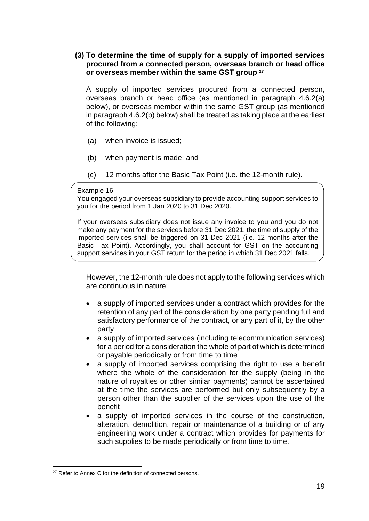## **(3) To determine the time of supply for a supply of imported services procured from a connected person, overseas branch or head office or overseas member within the same GST group <sup>27</sup>**

A supply of imported services procured from a connected person, overseas branch or head office (as mentioned in paragraph 4.6.2(a) below), or overseas member within the same GST group (as mentioned in paragraph 4.6.2(b) below) shall be treated as taking place at the earliest of the following:

- (a) when invoice is issued;
- (b) when payment is made; and
- (c) 12 months after the Basic Tax Point (i.e. the 12-month rule).

#### Example 16

You engaged your overseas subsidiary to provide accounting support services to you for the period from 1 Jan 2020 to 31 Dec 2020.

If your overseas subsidiary does not issue any invoice to you and you do not make any payment for the services before 31 Dec 2021, the time of supply of the imported services shall be triggered on 31 Dec 2021 (i.e. 12 months after the Basic Tax Point). Accordingly, you shall account for GST on the accounting support services in your GST return for the period in which 31 Dec 2021 falls.

However, the 12-month rule does not apply to the following services which are continuous in nature:

- a supply of imported services under a contract which provides for the retention of any part of the consideration by one party pending full and satisfactory performance of the contract, or any part of it, by the other party
- a supply of imported services (including telecommunication services) for a period for a consideration the whole of part of which is determined or payable periodically or from time to time
- a supply of imported services comprising the right to use a benefit where the whole of the consideration for the supply (being in the nature of royalties or other similar payments) cannot be ascertained at the time the services are performed but only subsequently by a person other than the supplier of the services upon the use of the benefit
- a supply of imported services in the course of the construction, alteration, demolition, repair or maintenance of a building or of any engineering work under a contract which provides for payments for such supplies to be made periodically or from time to time.

<sup>&</sup>lt;sup>27</sup> Refer to Annex C for the definition of connected persons.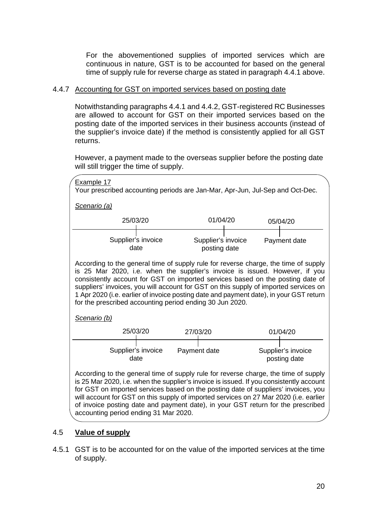For the abovementioned supplies of imported services which are continuous in nature, GST is to be accounted for based on the general time of supply rule for reverse charge as stated in paragraph 4.4.1 above.

## 4.4.7 Accounting for GST on imported services based on posting date

Notwithstanding paragraphs 4.4.1 and 4.4.2, GST-registered RC Businesses are allowed to account for GST on their imported services based on the posting date of the imported services in their business accounts (instead of the supplier's invoice date) if the method is consistently applied for all GST returns.

However, a payment made to the overseas supplier before the posting date will still trigger the time of supply.



## <span id="page-19-0"></span>4.5 **Value of supply**

4.5.1 GST is to be accounted for on the value of the imported services at the time of supply.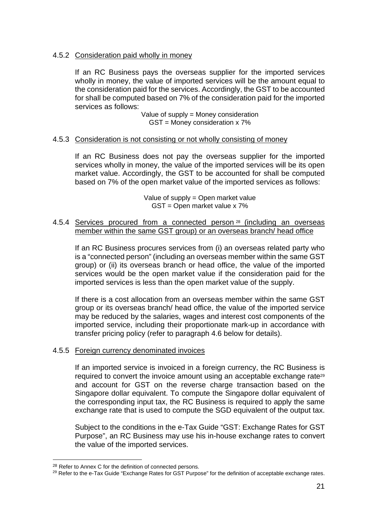## 4.5.2 Consideration paid wholly in money

If an RC Business pays the overseas supplier for the imported services wholly in money, the value of imported services will be the amount equal to the consideration paid for the services. Accordingly, the GST to be accounted for shall be computed based on 7% of the consideration paid for the imported services as follows:

> Value of supply = Money consideration GST = Money consideration x 7%

## 4.5.3 Consideration is not consisting or not wholly consisting of money

If an RC Business does not pay the overseas supplier for the imported services wholly in money, the value of the imported services will be its open market value. Accordingly, the GST to be accounted for shall be computed based on 7% of the open market value of the imported services as follows:

> Value of supply = Open market value GST = Open market value x 7%

#### 4.5.4 Services procured from a connected person<sup>28</sup> (including an overseas member within the same GST group) or an overseas branch/ head office

If an RC Business procures services from (i) an overseas related party who is a "connected person" (including an overseas member within the same GST group) or (ii) its overseas branch or head office, the value of the imported services would be the open market value if the consideration paid for the imported services is less than the open market value of the supply.

If there is a cost allocation from an overseas member within the same GST group or its overseas branch/ head office, the value of the imported service may be reduced by the salaries, wages and interest cost components of the imported service, including their proportionate mark-up in accordance with transfer pricing policy (refer to paragraph 4.6 below for details).

## 4.5.5 Foreign currency denominated invoices

If an imported service is invoiced in a foreign currency, the RC Business is required to convert the invoice amount using an acceptable exchange rate<sup>29</sup> and account for GST on the reverse charge transaction based on the Singapore dollar equivalent. To compute the Singapore dollar equivalent of the corresponding input tax, the RC Business is required to apply the same exchange rate that is used to compute the SGD equivalent of the output tax.

Subject to the conditions in the e-Tax Guide "GST: Exchange Rates for GST Purpose", an RC Business may use his in-house exchange rates to convert the value of the imported services.

<sup>&</sup>lt;sup>28</sup> Refer to Annex C for the definition of connected persons.

<sup>&</sup>lt;sup>29</sup> Refer to the e-Tax Guide "Exchange Rates for GST Purpose" for the definition of acceptable exchange rates.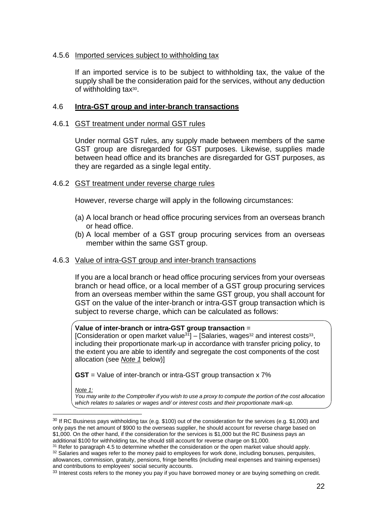#### 4.5.6 Imported services subject to withholding tax

If an imported service is to be subject to withholding tax, the value of the supply shall be the consideration paid for the services, without any deduction of withholding tax<sup>30</sup>.

## <span id="page-21-0"></span>4.6 **Intra-GST group and inter-branch transactions**

#### 4.6.1 GST treatment under normal GST rules

Under normal GST rules, any supply made between members of the same GST group are disregarded for GST purposes. Likewise, supplies made between head office and its branches are disregarded for GST purposes, as they are regarded as a single legal entity.

#### 4.6.2 GST treatment under reverse charge rules

However, reverse charge will apply in the following circumstances:

- (a) A local branch or head office procuring services from an overseas branch or head office.
- (b) A local member of a GST group procuring services from an overseas member within the same GST group.

#### 4.6.3 Value of intra-GST group and inter-branch transactions

If you are a local branch or head office procuring services from your overseas branch or head office, or a local member of a GST group procuring services from an overseas member within the same GST group, you shall account for GST on the value of the inter-branch or intra-GST group transaction which is subject to reverse charge, which can be calculated as follows:

#### **Value of inter-branch or intra-GST group transaction** =

[Consideration or open market value<sup>31</sup>] – [Salaries, wages<sup>32</sup> and interest costs<sup>33</sup>, including their proportionate mark-up in accordance with transfer pricing policy, to the extent you are able to identify and segregate the cost components of the cost allocation (see *Note 1* below)]

**GST** = Value of inter-branch or intra-GST group transaction x 7%

*Note 1:* 

*You may write to the Comptroller if you wish to use a proxy to compute the portion of the cost allocation which relates to salaries or wages and/ or interest costs and their proportionate mark-up.*

<sup>31</sup> Refer to paragraph 4.5 to determine whether the consideration or the open market value should apply.

<sup>32</sup> Salaries and wages refer to the money paid to employees for work done, including bonuses, perquisites, allowances, commission, gratuity, pensions, fringe benefits (including meal expenses and training expenses) and contributions to employees' social security accounts.

<sup>&</sup>lt;sup>30</sup> If RC Business pays withholding tax (e.g. \$100) out of the consideration for the services (e.g. \$1,000) and only pays the net amount of \$900 to the overseas supplier, he should account for reverse charge based on \$1,000. On the other hand, if the consideration for the services is \$1,000 but the RC Business pays an additional \$100 for withholding tax, he should still account for reverse charge on \$1,000.

<sup>&</sup>lt;sup>33</sup> Interest costs refers to the money you pay if you have borrowed money or are buying something on credit.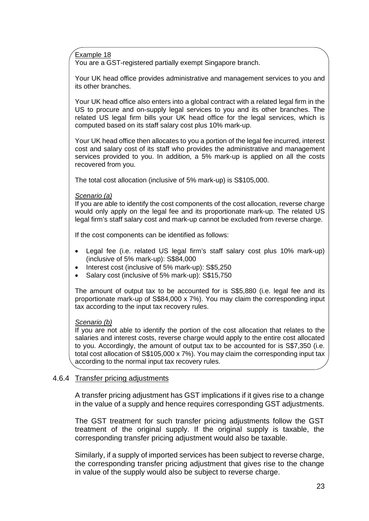Example 18

You are a GST-registered partially exempt Singapore branch.

Your UK head office provides administrative and management services to you and its other branches.

Your UK head office also enters into a global contract with a related legal firm in the US to procure and on-supply legal services to you and its other branches. The related US legal firm bills your UK head office for the legal services, which is computed based on its staff salary cost plus 10% mark-up.

Your UK head office then allocates to you a portion of the legal fee incurred, interest cost and salary cost of its staff who provides the administrative and management services provided to you. In addition, a 5% mark-up is applied on all the costs recovered from you.

The total cost allocation (inclusive of 5% mark-up) is S\$105,000.

#### *Scenario (a)*

If you are able to identify the cost components of the cost allocation, reverse charge would only apply on the legal fee and its proportionate mark-up. The related US legal firm's staff salary cost and mark-up cannot be excluded from reverse charge.

If the cost components can be identified as follows:

- Legal fee (i.e. related US legal firm's staff salary cost plus 10% mark-up) (inclusive of 5% mark-up): S\$84,000
- Interest cost (inclusive of 5% mark-up): S\$5,250
- Salary cost (inclusive of 5% mark-up): S\$15,750

The amount of output tax to be accounted for is S\$5,880 (i.e. legal fee and its proportionate mark-up of S\$84,000 x 7%). You may claim the corresponding input tax according to the input tax recovery rules.

#### *Scenario (b)*

If you are not able to identify the portion of the cost allocation that relates to the salaries and interest costs, reverse charge would apply to the entire cost allocated to you. Accordingly, the amount of output tax to be accounted for is S\$7,350 (i.e. total cost allocation of S\$105,000 x 7%). You may claim the corresponding input tax according to the normal input tax recovery rules.

## 4.6.4 Transfer pricing adjustments

A transfer pricing adjustment has GST implications if it gives rise to a change in the value of a supply and hence requires corresponding GST adjustments.

The GST treatment for such transfer pricing adjustments follow the GST treatment of the original supply. If the original supply is taxable, the corresponding transfer pricing adjustment would also be taxable.

Similarly, if a supply of imported services has been subject to reverse charge, the corresponding transfer pricing adjustment that gives rise to the change in value of the supply would also be subject to reverse charge.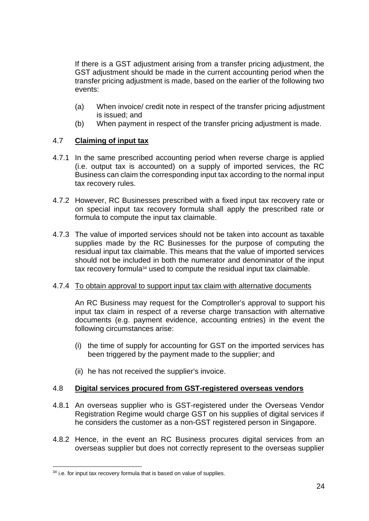If there is a GST adjustment arising from a transfer pricing adjustment, the GST adjustment should be made in the current accounting period when the transfer pricing adjustment is made, based on the earlier of the following two events:

- (a) When invoice/ credit note in respect of the transfer pricing adjustment is issued; and
- (b) When payment in respect of the transfer pricing adjustment is made.

## <span id="page-23-0"></span>4.7 **Claiming of input tax**

- 4.7.1 In the same prescribed accounting period when reverse charge is applied (i.e. output tax is accounted) on a supply of imported services, the RC Business can claim the corresponding input tax according to the normal input tax recovery rules.
- 4.7.2 However, RC Businesses prescribed with a fixed input tax recovery rate or on special input tax recovery formula shall apply the prescribed rate or formula to compute the input tax claimable.
- 4.7.3 The value of imported services should not be taken into account as taxable supplies made by the RC Businesses for the purpose of computing the residual input tax claimable. This means that the value of imported services should not be included in both the numerator and denominator of the input tax recovery formula34 used to compute the residual input tax claimable.

## 4.7.4 To obtain approval to support input tax claim with alternative documents

An RC Business may request for the Comptroller's approval to support his input tax claim in respect of a reverse charge transaction with alternative documents (e.g. payment evidence, accounting entries) in the event the following circumstances arise:

- (i) the time of supply for accounting for GST on the imported services has been triggered by the payment made to the supplier; and
- (ii) he has not received the supplier's invoice.

## <span id="page-23-1"></span>4.8 **Digital services procured from GST-registered overseas vendors**

- 4.8.1 An overseas supplier who is GST-registered under the Overseas Vendor Registration Regime would charge GST on his supplies of digital services if he considers the customer as a non-GST registered person in Singapore.
- 4.8.2 Hence, in the event an RC Business procures digital services from an overseas supplier but does not correctly represent to the overseas supplier

<sup>&</sup>lt;sup>34</sup> i.e. for input tax recovery formula that is based on value of supplies.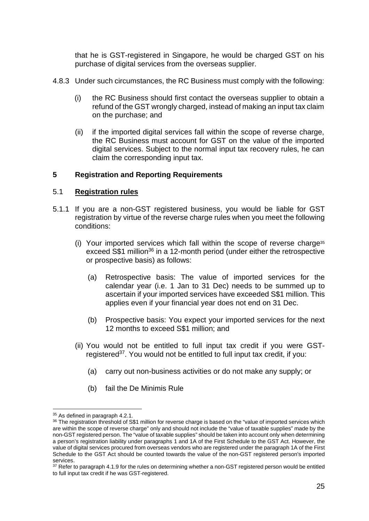that he is GST-registered in Singapore, he would be charged GST on his purchase of digital services from the overseas supplier.

- 4.8.3 Under such circumstances, the RC Business must comply with the following:
	- (i) the RC Business should first contact the overseas supplier to obtain a refund of the GST wrongly charged, instead of making an input tax claim on the purchase; and
	- (ii) if the imported digital services fall within the scope of reverse charge, the RC Business must account for GST on the value of the imported digital services. Subject to the normal input tax recovery rules, he can claim the corresponding input tax.

## <span id="page-24-0"></span>**5 Registration and Reporting Requirements**

#### <span id="page-24-1"></span>5.1 **Registration rules**

- 5.1.1 If you are a non-GST registered business, you would be liable for GST registration by virtue of the reverse charge rules when you meet the following conditions:
	- (i) Your imported services which fall within the scope of reverse charge<sup>35</sup> exceed S\$1 million<sup>36</sup> in a 12-month period (under either the retrospective or prospective basis) as follows:
		- (a) Retrospective basis: The value of imported services for the calendar year (i.e. 1 Jan to 31 Dec) needs to be summed up to ascertain if your imported services have exceeded S\$1 million. This applies even if your financial year does not end on 31 Dec.
		- (b) Prospective basis: You expect your imported services for the next 12 months to exceed S\$1 million; and
	- (ii) You would not be entitled to full input tax credit if you were GSTregistered<sup>37</sup>. You would not be entitled to full input tax credit, if you:
		- (a) carry out non-business activities or do not make any supply; or
		- (b) fail the De Minimis Rule

<sup>35</sup> As defined in paragraph 4.2.1.

<sup>&</sup>lt;sup>36</sup> The registration threshold of S\$1 million for reverse charge is based on the "value of imported services which are within the scope of reverse charge" only and should not include the "value of taxable supplies" made by the non-GST registered person. The "value of taxable supplies" should be taken into account only when determining a person's registration liability under paragraphs 1 and 1A of the First Schedule to the GST Act. However, the value of digital services procured from overseas vendors who are registered under the paragraph 1A of the First Schedule to the GST Act should be counted towards the value of the non-GST registered person's imported services.

<sup>&</sup>lt;sup>37</sup> Refer to paragraph 4.1.9 for the rules on determining whether a non-GST registered person would be entitled to full input tax credit if he was GST-registered.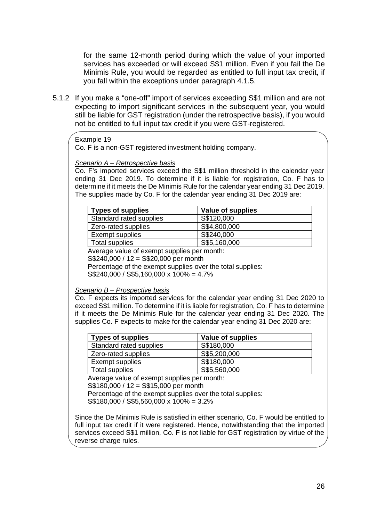for the same 12-month period during which the value of your imported services has exceeded or will exceed S\$1 million. Even if you fail the De Minimis Rule, you would be regarded as entitled to full input tax credit, if you fall within the exceptions under paragraph 4.1.5.

5.1.2 If you make a "one-off" import of services exceeding S\$1 million and are not expecting to import significant services in the subsequent year, you would still be liable for GST registration (under the retrospective basis), if you would not be entitled to full input tax credit if you were GST-registered.

#### Example 19

Co. F is a non-GST registered investment holding company.

#### *Scenario A – Retrospective basis*

Co. F's imported services exceed the S\$1 million threshold in the calendar year ending 31 Dec 2019. To determine if it is liable for registration, Co. F has to determine if it meets the De Minimis Rule for the calendar year ending 31 Dec 2019. The supplies made by Co. F for the calendar year ending 31 Dec 2019 are:

| <b>Types of supplies</b> | Value of supplies |
|--------------------------|-------------------|
| Standard rated supplies  | S\$120,000        |
| Zero-rated supplies      | S\$4,800,000      |
| Exempt supplies          | S\$240,000        |
| Total supplies           | S\$5,160,000      |

Average value of exempt supplies per month:

S\$240,000 / 12 = S\$20,000 per month

Percentage of the exempt supplies over the total supplies:

S\$240,000 / S\$5,160,000 x 100% = 4.7%

#### *Scenario B – Prospective basis*

Co. F expects its imported services for the calendar year ending 31 Dec 2020 to exceed S\$1 million. To determine if it is liable for registration, Co. F has to determine if it meets the De Minimis Rule for the calendar year ending 31 Dec 2020. The supplies Co. F expects to make for the calendar year ending 31 Dec 2020 are:

| <b>Types of supplies</b> | Value of supplies |
|--------------------------|-------------------|
| Standard rated supplies  | S\$180,000        |
| Zero-rated supplies      | S\$5,200,000      |
| Exempt supplies          | S\$180,000        |
| Total supplies           | S\$5,560,000      |

Average value of exempt supplies per month:

S\$180,000 / 12 = S\$15,000 per month

Percentage of the exempt supplies over the total supplies:

S\$180,000 / S\$5,560,000 x 100% = 3.2%

Since the De Minimis Rule is satisfied in either scenario, Co. F would be entitled to full input tax credit if it were registered. Hence, notwithstanding that the imported services exceed S\$1 million, Co. F is not liable for GST registration by virtue of the reverse charge rules.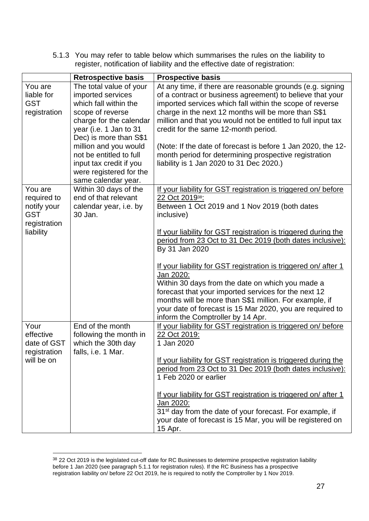5.1.3 You may refer to table below which summarises the rules on the liability to register, notification of liability and the effective date of registration:

|                           | <b>Retrospective basis</b>                    | <b>Prospective basis</b>                                                                                                                                                                                                                                                                                           |
|---------------------------|-----------------------------------------------|--------------------------------------------------------------------------------------------------------------------------------------------------------------------------------------------------------------------------------------------------------------------------------------------------------------------|
| You are                   | The total value of your                       | At any time, if there are reasonable grounds (e.g. signing                                                                                                                                                                                                                                                         |
| liable for                | imported services                             | of a contract or business agreement) to believe that your                                                                                                                                                                                                                                                          |
| <b>GST</b>                | which fall within the                         | imported services which fall within the scope of reverse                                                                                                                                                                                                                                                           |
| registration              | scope of reverse                              | charge in the next 12 months will be more than S\$1                                                                                                                                                                                                                                                                |
|                           | charge for the calendar                       | million and that you would not be entitled to full input tax                                                                                                                                                                                                                                                       |
|                           | year (i.e. 1 Jan to 31                        | credit for the same 12-month period.                                                                                                                                                                                                                                                                               |
|                           | Dec) is more than S\$1                        |                                                                                                                                                                                                                                                                                                                    |
|                           | million and you would                         | (Note: If the date of forecast is before 1 Jan 2020, the 12-                                                                                                                                                                                                                                                       |
|                           | not be entitled to full                       | month period for determining prospective registration                                                                                                                                                                                                                                                              |
|                           |                                               |                                                                                                                                                                                                                                                                                                                    |
|                           | input tax credit if you                       | liability is 1 Jan 2020 to 31 Dec 2020.)                                                                                                                                                                                                                                                                           |
|                           | were registered for the                       |                                                                                                                                                                                                                                                                                                                    |
|                           | same calendar year.                           |                                                                                                                                                                                                                                                                                                                    |
| You are                   | Within 30 days of the<br>end of that relevant | If your liability for GST registration is triggered on/ before                                                                                                                                                                                                                                                     |
| required to               |                                               | 22 Oct 2019 <sup>38</sup> :                                                                                                                                                                                                                                                                                        |
| notify your<br><b>GST</b> | calendar year, i.e. by<br>30 Jan.             | Between 1 Oct 2019 and 1 Nov 2019 (both dates                                                                                                                                                                                                                                                                      |
|                           |                                               | inclusive)                                                                                                                                                                                                                                                                                                         |
| registration              |                                               |                                                                                                                                                                                                                                                                                                                    |
| liability                 |                                               | If your liability for GST registration is triggered during the                                                                                                                                                                                                                                                     |
|                           |                                               | period from 23 Oct to 31 Dec 2019 (both dates inclusive):                                                                                                                                                                                                                                                          |
|                           |                                               | By 31 Jan 2020                                                                                                                                                                                                                                                                                                     |
|                           |                                               |                                                                                                                                                                                                                                                                                                                    |
|                           |                                               | If your liability for GST registration is triggered on/ after 1<br>Jan 2020:                                                                                                                                                                                                                                       |
|                           |                                               | Within 30 days from the date on which you made a                                                                                                                                                                                                                                                                   |
|                           |                                               | forecast that your imported services for the next 12                                                                                                                                                                                                                                                               |
|                           |                                               |                                                                                                                                                                                                                                                                                                                    |
|                           |                                               | months will be more than S\$1 million. For example, if                                                                                                                                                                                                                                                             |
|                           |                                               | your date of forecast is 15 Mar 2020, you are required to                                                                                                                                                                                                                                                          |
| Your                      | End of the month                              | inform the Comptroller by 14 Apr.<br>If your liability for GST registration is triggered on/ before                                                                                                                                                                                                                |
| effective                 |                                               | 22 Oct 2019:                                                                                                                                                                                                                                                                                                       |
| date of GST               | following the month in<br>which the 30th day  | 1 Jan 2020                                                                                                                                                                                                                                                                                                         |
| registration              | falls, i.e. 1 Mar.                            |                                                                                                                                                                                                                                                                                                                    |
| will be on                |                                               | If your liability for GST registration is triggered during the                                                                                                                                                                                                                                                     |
|                           |                                               |                                                                                                                                                                                                                                                                                                                    |
|                           |                                               |                                                                                                                                                                                                                                                                                                                    |
|                           |                                               |                                                                                                                                                                                                                                                                                                                    |
|                           |                                               |                                                                                                                                                                                                                                                                                                                    |
|                           |                                               |                                                                                                                                                                                                                                                                                                                    |
|                           |                                               |                                                                                                                                                                                                                                                                                                                    |
|                           |                                               |                                                                                                                                                                                                                                                                                                                    |
|                           |                                               |                                                                                                                                                                                                                                                                                                                    |
|                           |                                               | period from 23 Oct to 31 Dec 2019 (both dates inclusive):<br>1 Feb 2020 or earlier<br>If your liability for GST registration is triggered on/after 1<br>Jan 2020:<br>31 <sup>st</sup> day from the date of your forecast. For example, if<br>your date of forecast is 15 Mar, you will be registered on<br>15 Apr. |

<sup>38 22</sup> Oct 2019 is the legislated cut-off date for RC Businesses to determine prospective registration liability before 1 Jan 2020 (see paragraph 5.1.1 for registration rules). If the RC Business has a prospective registration liability on/ before 22 Oct 2019, he is required to notify the Comptroller by 1 Nov 2019.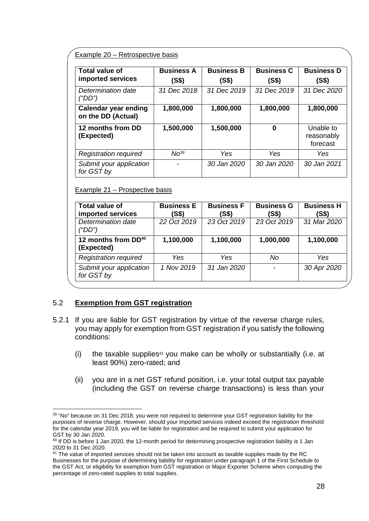#### Example 20 – Retrospective basis

| <b>Total value of</b><br>imported services        | <b>Business A</b><br>(S\$) | <b>Business B</b><br>(S\$) | <b>Business C</b><br>(S\$) | <b>Business D</b><br>(S\$)          |
|---------------------------------------------------|----------------------------|----------------------------|----------------------------|-------------------------------------|
| Determination date<br>("DD")                      | 31 Dec 2018                | 31 Dec 2019                | 31 Dec 2019                | 31 Dec 2020                         |
| <b>Calendar year ending</b><br>on the DD (Actual) | 1,800,000                  | 1,800,000                  | 1,800,000                  | 1,800,000                           |
| 12 months from DD<br>(Expected)                   | 1,500,000                  | 1,500,000                  | 0                          | Unable to<br>reasonably<br>forecast |
| <b>Registration required</b>                      | N <sup>39</sup>            | Yes                        | Yes                        | Yes                                 |
| Submit your application<br>for GST by             |                            | 30 Jan 2020                | 30 Jan 2020                | 30 Jan 2021                         |

#### Example 21 – Prospective basis

| Total value of<br>imported services           | <b>Business E</b><br>(S\$) | <b>Business F</b><br>(S\$) | <b>Business G</b><br>(S\$) | <b>Business H</b><br>(S\$) |
|-----------------------------------------------|----------------------------|----------------------------|----------------------------|----------------------------|
| Determination date<br>("DD")                  | 22 Oct 2019                | 23 Oct 2019                | 23 Oct 2019                | 31 Mar 2020                |
| 12 months from DD <sup>40</sup><br>(Expected) | 1,100,000                  | 1,100,000                  | 1,000,000                  | 1,100,000                  |
| <b>Registration required</b>                  | Yes                        | Yes                        | No                         | Yes                        |
| Submit your application<br>for GST by         | 1 Nov 2019                 | 31 Jan 2020                |                            | 30 Apr 2020                |

## <span id="page-27-0"></span>5.2 **Exemption from GST registration**

- 5.2.1 If you are liable for GST registration by virtue of the reverse charge rules, you may apply for exemption from GST registration if you satisfy the following conditions:
	- (i) the taxable supplies<sup>41</sup> you make can be wholly or substantially (i.e. at least 90%) zero-rated; and
	- (ii) you are in a net GST refund position, i.e. your total output tax payable (including the GST on reverse charge transactions) is less than your

<sup>&</sup>lt;sup>39</sup> "No" because on 31 Dec 2018, you were not required to determine your GST registration liability for the purposes of reverse charge. However, should your imported services indeed exceed the registration threshold for the calendar year 2019, you will be liable for registration and be required to submit your application for GST by 30 Jan 2020.

<sup>&</sup>lt;sup>40</sup> If DD is before 1 Jan 2020, the 12-month period for determining prospective registration liability is 1 Jan 2020 to 31 Dec 2020.

<sup>&</sup>lt;sup>41</sup> The value of imported services should not be taken into account as taxable supplies made by the RC Businesses for the purpose of determining liability for registration under paragraph 1 of the First Schedule to the GST Act, or eligibility for exemption from GST registration or Major Exporter Scheme when computing the percentage of zero-rated supplies to total supplies.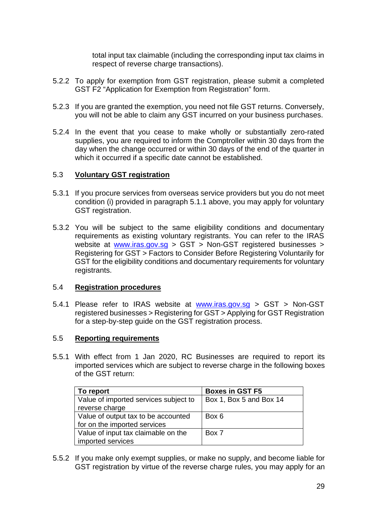total input tax claimable (including the corresponding input tax claims in respect of reverse charge transactions).

- 5.2.2 To apply for exemption from GST registration, please submit a completed GST F2 "Application for Exemption from Registration" form.
- 5.2.3 If you are granted the exemption, you need not file GST returns. Conversely, you will not be able to claim any GST incurred on your business purchases.
- 5.2.4 In the event that you cease to make wholly or substantially zero-rated supplies, you are required to inform the Comptroller within 30 days from the day when the change occurred or within 30 days of the end of the quarter in which it occurred if a specific date cannot be established.

#### <span id="page-28-0"></span>5.3 **Voluntary GST registration**

- 5.3.1 If you procure services from overseas service providers but you do not meet condition (i) provided in paragraph 5.1.1 above, you may apply for voluntary GST registration.
- 5.3.2 You will be subject to the same eligibility conditions and documentary requirements as existing voluntary registrants. You can refer to the IRAS website at [www.iras.gov.sg](http://www.iras.gov.sg/) > GST > Non-GST registered businesses > Registering for GST > Factors to Consider Before Registering Voluntarily for GST for the eligibility conditions and documentary requirements for voluntary registrants.

## <span id="page-28-1"></span>5.4 **Registration procedures**

5.4.1 Please refer to IRAS website at [www.iras.gov.sg](http://www.iras.gov.sg/) > GST > Non-GST registered businesses > Registering for GST > Applying for GST Registration for a step-by-step guide on the GST registration process.

## <span id="page-28-2"></span>5.5 **Reporting requirements**

5.5.1 With effect from 1 Jan 2020, RC Businesses are required to report its imported services which are subject to reverse charge in the following boxes of the GST return:

| To report                             | <b>Boxes in GST F5</b>  |
|---------------------------------------|-------------------------|
| Value of imported services subject to | Box 1, Box 5 and Box 14 |
| reverse charge                        |                         |
| Value of output tax to be accounted   | Box 6                   |
| for on the imported services          |                         |
| Value of input tax claimable on the   | Box 7                   |
| imported services                     |                         |

5.5.2 If you make only exempt supplies, or make no supply, and become liable for GST registration by virtue of the reverse charge rules, you may apply for an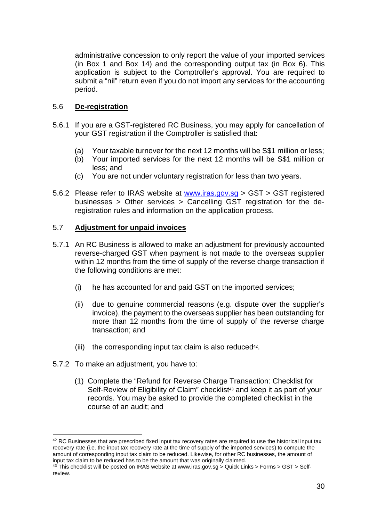administrative concession to only report the value of your imported services (in Box 1 and Box 14) and the corresponding output tax (in Box 6). This application is subject to the Comptroller's approval. You are required to submit a "nil" return even if you do not import any services for the accounting period.

## <span id="page-29-0"></span>5.6 **De-registration**

- 5.6.1 If you are a GST-registered RC Business, you may apply for cancellation of your GST registration if the Comptroller is satisfied that:
	- (a) Your taxable turnover for the next 12 months will be S\$1 million or less;
	- (b) Your imported services for the next 12 months will be S\$1 million or less; and
	- (c) You are not under voluntary registration for less than two years.
- 5.6.2 Please refer to IRAS website at [www.iras.gov.sg](http://www.iras.gov.sg/) > GST > GST registered businesses > Other services > Cancelling GST registration for the deregistration rules and information on the application process.

## <span id="page-29-1"></span>5.7 **Adjustment for unpaid invoices**

- 5.7.1 An RC Business is allowed to make an adjustment for previously accounted reverse-charged GST when payment is not made to the overseas supplier within 12 months from the time of supply of the reverse charge transaction if the following conditions are met:
	- (i) he has accounted for and paid GST on the imported services;
	- (ii) due to genuine commercial reasons (e.g. dispute over the supplier's invoice), the payment to the overseas supplier has been outstanding for more than 12 months from the time of supply of the reverse charge transaction; and
	- (iii) the corresponding input tax claim is also reduced<sup>42</sup>.
- 5.7.2 To make an adjustment, you have to:
	- (1) Complete the "Refund for Reverse Charge Transaction: Checklist for Self-Review of Eligibility of Claim" checklist<sup>43</sup> and keep it as part of your records. You may be asked to provide the completed checklist in the course of an audit; and

 $42$  RC Businesses that are prescribed fixed input tax recovery rates are required to use the historical input tax recovery rate (i.e. the input tax recovery rate at the time of supply of the imported services) to compute the amount of corresponding input tax claim to be reduced. Likewise, for other RC businesses, the amount of input tax claim to be reduced has to be the amount that was originally claimed.

 $43$  This checklist will be posted on IRAS website at www.iras.gov.sg > Quick Links > Forms > GST > Selfreview.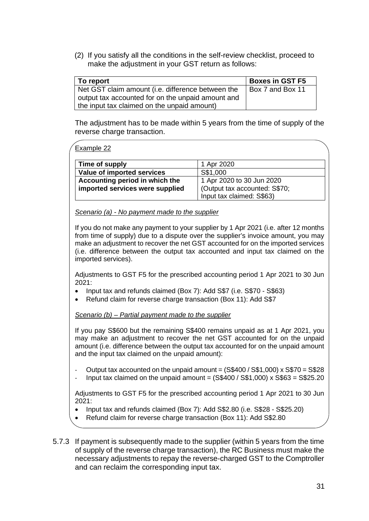(2) If you satisfy all the conditions in the self-review checklist, proceed to make the adjustment in your GST return as follows:

| To report                                         | <b>Boxes in GST F5</b> |
|---------------------------------------------------|------------------------|
| Net GST claim amount (i.e. difference between the | Box 7 and Box 11       |
| output tax accounted for on the unpaid amount and |                        |
| the input tax claimed on the unpaid amount)       |                        |

The adjustment has to be made within 5 years from the time of supply of the reverse charge transaction.

#### Example 22

| Time of supply                  | 1 Apr 2020                    |
|---------------------------------|-------------------------------|
| Value of imported services      | S\$1,000                      |
| Accounting period in which the  | 1 Apr 2020 to 30 Jun 2020     |
| imported services were supplied | (Output tax accounted: S\$70; |
|                                 | Input tax claimed: S\$63)     |

#### *Scenario (a) - No payment made to the supplier*

If you do not make any payment to your supplier by 1 Apr 2021 (i.e. after 12 months from time of supply) due to a dispute over the supplier's invoice amount, you may make an adjustment to recover the net GST accounted for on the imported services (i.e. difference between the output tax accounted and input tax claimed on the imported services).

Adjustments to GST F5 for the prescribed accounting period 1 Apr 2021 to 30 Jun 2021:

- Input tax and refunds claimed (Box 7): Add S\$7 (i.e. S\$70 S\$63)
- Refund claim for reverse charge transaction (Box 11): Add S\$7

#### *Scenario (b) – Partial payment made to the supplier*

If you pay S\$600 but the remaining S\$400 remains unpaid as at 1 Apr 2021, you may make an adjustment to recover the net GST accounted for on the unpaid amount (i.e. difference between the output tax accounted for on the unpaid amount and the input tax claimed on the unpaid amount):

- Output tax accounted on the unpaid amount  $=$  (S\$400 / S\$1,000) x S\$70  $=$  S\$28
- Input tax claimed on the unpaid amount =  $(S$400 / S$1,000)$  x  $S$63 = S$25.20$

Adjustments to GST F5 for the prescribed accounting period 1 Apr 2021 to 30 Jun 2021:

- Input tax and refunds claimed (Box 7): Add S\$2.80 (i.e. S\$28 S\$25.20)
- Refund claim for reverse charge transaction (Box 11): Add S\$2.80
- 5.7.3 If payment is subsequently made to the supplier (within 5 years from the time of supply of the reverse charge transaction), the RC Business must make the necessary adjustments to repay the reverse-charged GST to the Comptroller and can reclaim the corresponding input tax.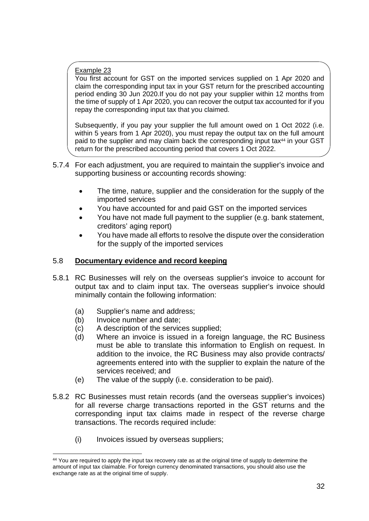## Example 23

You first account for GST on the imported services supplied on 1 Apr 2020 and claim the corresponding input tax in your GST return for the prescribed accounting period ending 30 Jun 2020.If you do not pay your supplier within 12 months from the time of supply of 1 Apr 2020, you can recover the output tax accounted for if you repay the corresponding input tax that you claimed.

Subsequently, if you pay your supplier the full amount owed on 1 Oct 2022 (i.e. within 5 years from 1 Apr 2020), you must repay the output tax on the full amount paid to the supplier and may claim back the corresponding input tax<sup>44</sup> in your GST return for the prescribed accounting period that covers 1 Oct 2022.

- 5.7.4 For each adjustment, you are required to maintain the supplier's invoice and supporting business or accounting records showing:
	- The time, nature, supplier and the consideration for the supply of the imported services
	- You have accounted for and paid GST on the imported services
	- You have not made full payment to the supplier (e.g. bank statement, creditors' aging report)
	- You have made all efforts to resolve the dispute over the consideration for the supply of the imported services

## <span id="page-31-0"></span>5.8 **Documentary evidence and record keeping**

- 5.8.1 RC Businesses will rely on the overseas supplier's invoice to account for output tax and to claim input tax. The overseas supplier's invoice should minimally contain the following information:
	- (a) Supplier's name and address;
	- (b) Invoice number and date;
	- (c) A description of the services supplied;
	- (d) Where an invoice is issued in a foreign language, the RC Business must be able to translate this information to English on request. In addition to the invoice, the RC Business may also provide contracts/ agreements entered into with the supplier to explain the nature of the services received; and
	- (e) The value of the supply (i.e. consideration to be paid).
- 5.8.2 RC Businesses must retain records (and the overseas supplier's invoices) for all reverse charge transactions reported in the GST returns and the corresponding input tax claims made in respect of the reverse charge transactions. The records required include:
	- (i) Invoices issued by overseas suppliers;

<sup>&</sup>lt;sup>44</sup> You are required to apply the input tax recovery rate as at the original time of supply to determine the amount of input tax claimable. For foreign currency denominated transactions, you should also use the exchange rate as at the original time of supply.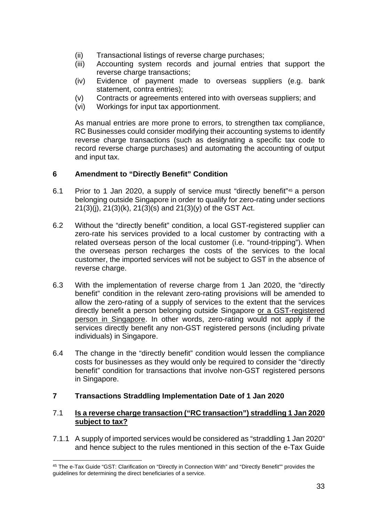- (ii) Transactional listings of reverse charge purchases;
- (iii) Accounting system records and journal entries that support the reverse charge transactions:
- (iv) Evidence of payment made to overseas suppliers (e.g. bank statement, contra entries);
- (v) Contracts or agreements entered into with overseas suppliers; and
- (vi) Workings for input tax apportionment.

As manual entries are more prone to errors, to strengthen tax compliance, RC Businesses could consider modifying their accounting systems to identify reverse charge transactions (such as designating a specific tax code to record reverse charge purchases) and automating the accounting of output and input tax.

## <span id="page-32-0"></span>**6 Amendment to "Directly Benefit" Condition**

- 6.1 Prior to 1 Jan 2020, a supply of service must "directly benefit"45 a person belonging outside Singapore in order to qualify for zero-rating under sections 21(3)(j), 21(3)(k), 21(3)(s) and 21(3)(y) of the GST Act.
- 6.2 Without the "directly benefit" condition, a local GST-registered supplier can zero-rate his services provided to a local customer by contracting with a related overseas person of the local customer (i.e. "round-tripping"). When the overseas person recharges the costs of the services to the local customer, the imported services will not be subject to GST in the absence of reverse charge.
- 6.3 With the implementation of reverse charge from 1 Jan 2020, the "directly benefit" condition in the relevant zero-rating provisions will be amended to allow the zero-rating of a supply of services to the extent that the services directly benefit a person belonging outside Singapore or a GST-registered person in Singapore. In other words, zero-rating would not apply if the services directly benefit any non-GST registered persons (including private individuals) in Singapore.
- 6.4 The change in the "directly benefit" condition would lessen the compliance costs for businesses as they would only be required to consider the "directly benefit" condition for transactions that involve non-GST registered persons in Singapore.

## <span id="page-32-1"></span>**7 Transactions Straddling Implementation Date of 1 Jan 2020**

## 7.1 **Is a reverse charge transaction ("RC transaction") straddling 1 Jan 2020 subject to tax?**

7.1.1 A supply of imported services would be considered as "straddling 1 Jan 2020" and hence subject to the rules mentioned in this section of the e-Tax Guide

<sup>45</sup> The e-Tax Guide "GST: Clarification on "Directly in Connection With" and "Directly Benefit"" provides the guidelines for determining the direct beneficiaries of a service.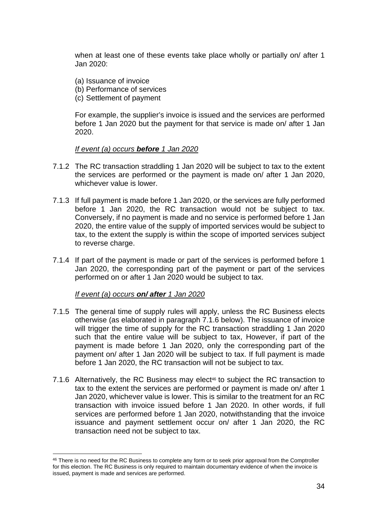when at least one of these events take place wholly or partially on/ after 1 Jan 2020:

- (a) Issuance of invoice
- (b) Performance of services
- (c) Settlement of payment

For example, the supplier's invoice is issued and the services are performed before 1 Jan 2020 but the payment for that service is made on/ after 1 Jan 2020.

#### *If event (a) occurs before 1 Jan 2020*

- 7.1.2 The RC transaction straddling 1 Jan 2020 will be subject to tax to the extent the services are performed or the payment is made on/ after 1 Jan 2020, whichever value is lower.
- 7.1.3 If full payment is made before 1 Jan 2020, or the services are fully performed before 1 Jan 2020, the RC transaction would not be subject to tax. Conversely, if no payment is made and no service is performed before 1 Jan 2020, the entire value of the supply of imported services would be subject to tax, to the extent the supply is within the scope of imported services subject to reverse charge.
- 7.1.4 If part of the payment is made or part of the services is performed before 1 Jan 2020, the corresponding part of the payment or part of the services performed on or after 1 Jan 2020 would be subject to tax.

## *If event (a) occurs on/ after 1 Jan 2020*

- 7.1.5 The general time of supply rules will apply, unless the RC Business elects otherwise (as elaborated in paragraph 7.1.6 below). The issuance of invoice will trigger the time of supply for the RC transaction straddling 1 Jan 2020 such that the entire value will be subject to tax, However, if part of the payment is made before 1 Jan 2020, only the corresponding part of the payment on/ after 1 Jan 2020 will be subject to tax. If full payment is made before 1 Jan 2020, the RC transaction will not be subject to tax.
- 7.1.6 Alternatively, the RC Business may elect<sup>46</sup> to subject the RC transaction to tax to the extent the services are performed or payment is made on/ after 1 Jan 2020, whichever value is lower. This is similar to the treatment for an RC transaction with invoice issued before 1 Jan 2020. In other words, if full services are performed before 1 Jan 2020, notwithstanding that the invoice issuance and payment settlement occur on/ after 1 Jan 2020, the RC transaction need not be subject to tax.

<sup>&</sup>lt;sup>46</sup> There is no need for the RC Business to complete any form or to seek prior approval from the Comptroller for this election. The RC Business is only required to maintain documentary evidence of when the invoice is issued, payment is made and services are performed.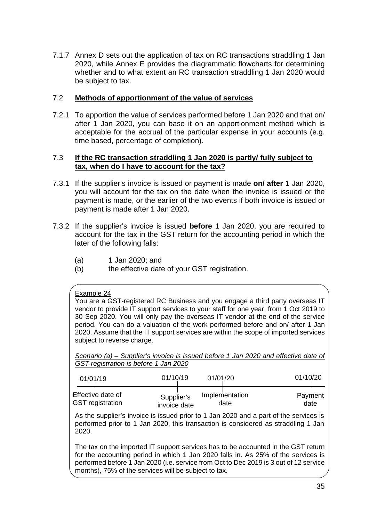7.1.7 Annex D sets out the application of tax on RC transactions straddling 1 Jan 2020, while Annex E provides the diagrammatic flowcharts for determining whether and to what extent an RC transaction straddling 1 Jan 2020 would be subject to tax.

## 7.2 **Methods of apportionment of the value of services**

7.2.1 To apportion the value of services performed before 1 Jan 2020 and that on/ after 1 Jan 2020, you can base it on an apportionment method which is acceptable for the accrual of the particular expense in your accounts (e.g. time based, percentage of completion).

## 7.3 **If the RC transaction straddling 1 Jan 2020 is partly/ fully subject to tax, when do I have to account for the tax?**

- 7.3.1 If the supplier's invoice is issued or payment is made **on/ after** 1 Jan 2020, you will account for the tax on the date when the invoice is issued or the payment is made, or the earlier of the two events if both invoice is issued or payment is made after 1 Jan 2020.
- 7.3.2 If the supplier's invoice is issued **before** 1 Jan 2020, you are required to account for the tax in the GST return for the accounting period in which the later of the following falls:
	- (a) 1 Jan 2020; and
	- (b) the effective date of your GST registration.

## Example 24

You are a GST-registered RC Business and you engage a third party overseas IT vendor to provide IT support services to your staff for one year, from 1 Oct 2019 to 30 Sep 2020. You will only pay the overseas IT vendor at the end of the service period. You can do a valuation of the work performed before and on/ after 1 Jan 2020. Assume that the IT support services are within the scope of imported services subject to reverse charge.

*Scenario (a) – Supplier's invoice is issued before 1 Jan 2020 and effective date of GST registration is before 1 Jan 2020* 

| 01/01/19                | 01/10/19     | 01/01/20       | 01/10/20 |
|-------------------------|--------------|----------------|----------|
| Effective date of       | Supplier's   | Implementation | Payment  |
| <b>GST</b> registration | invoice date | date           | date     |

As the supplier's invoice is issued prior to 1 Jan 2020 and a part of the services is performed prior to 1 Jan 2020, this transaction is considered as straddling 1 Jan 2020.

The tax on the imported IT support services has to be accounted in the GST return for the accounting period in which 1 Jan 2020 falls in. As 25% of the services is performed before 1 Jan 2020 (i.e. service from Oct to Dec 2019 is 3 out of 12 service months), 75% of the services will be subject to tax.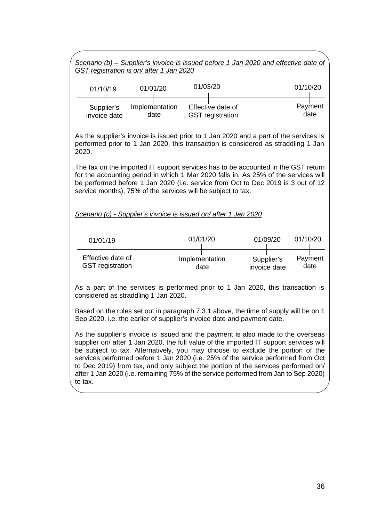|                                              | GST registration is on/ after 1 Jan 2020 | Scenario $(b)$ – Supplier's invoice is issued before 1 Jan 2020 and effective date of                                                                                                                                                                                                                                                                                                                                                                                                                                        |                            |                 |
|----------------------------------------------|------------------------------------------|------------------------------------------------------------------------------------------------------------------------------------------------------------------------------------------------------------------------------------------------------------------------------------------------------------------------------------------------------------------------------------------------------------------------------------------------------------------------------------------------------------------------------|----------------------------|-----------------|
| 01/10/19                                     | 01/01/20                                 | 01/03/20                                                                                                                                                                                                                                                                                                                                                                                                                                                                                                                     |                            | 01/10/20        |
| Supplier's<br>invoice date                   | Implementation<br>date                   | Effective date of<br><b>GST</b> registration                                                                                                                                                                                                                                                                                                                                                                                                                                                                                 |                            | Payment<br>date |
| 2020.                                        |                                          | As the supplier's invoice is issued prior to 1 Jan 2020 and a part of the services is<br>performed prior to 1 Jan 2020, this transaction is considered as straddling 1 Jan                                                                                                                                                                                                                                                                                                                                                   |                            |                 |
|                                              |                                          | The tax on the imported IT support services has to be accounted in the GST return<br>for the accounting period in which 1 Mar 2020 falls in. As 25% of the services will<br>be performed before 1 Jan 2020 (i.e. service from Oct to Dec 2019 is 3 out of 12<br>service months), 75% of the services will be subject to tax.                                                                                                                                                                                                 |                            |                 |
|                                              |                                          | Scenario (c) - Supplier's invoice is issued on/after 1 Jan 2020                                                                                                                                                                                                                                                                                                                                                                                                                                                              |                            |                 |
| 01/01/19                                     |                                          | 01/01/20                                                                                                                                                                                                                                                                                                                                                                                                                                                                                                                     | 01/09/20                   | 01/10/20        |
| Effective date of<br><b>GST</b> registration |                                          | Implementation<br>date                                                                                                                                                                                                                                                                                                                                                                                                                                                                                                       | Supplier's<br>invoice date | Payment<br>date |
|                                              | considered as straddling 1 Jan 2020.     | As a part of the services is performed prior to 1 Jan 2020, this transaction is                                                                                                                                                                                                                                                                                                                                                                                                                                              |                            |                 |
|                                              |                                          | Based on the rules set out in paragraph 7.3.1 above, the time of supply will be on 1<br>Sep 2020, i.e. the earlier of supplier's invoice date and payment date.                                                                                                                                                                                                                                                                                                                                                              |                            |                 |
| to tax.                                      |                                          | As the supplier's invoice is issued and the payment is also made to the overseas<br>supplier on/ after 1 Jan 2020, the full value of the imported IT support services will<br>be subject to tax. Alternatively, you may choose to exclude the portion of the<br>services performed before 1 Jan 2020 (i.e. 25% of the service performed from Oct<br>to Dec 2019) from tax, and only subject the portion of the services performed on/<br>after 1 Jan 2020 (i.e. remaining 75% of the service performed from Jan to Sep 2020) |                            |                 |
|                                              |                                          |                                                                                                                                                                                                                                                                                                                                                                                                                                                                                                                              |                            |                 |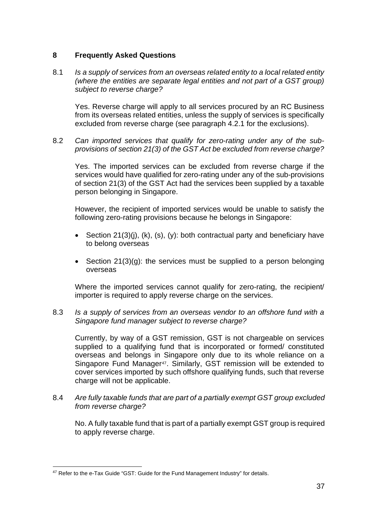## <span id="page-36-0"></span>**8 Frequently Asked Questions**

8.1 *Is a supply of services from an overseas related entity to a local related entity (where the entities are separate legal entities and not part of a GST group) subject to reverse charge?*

Yes. Reverse charge will apply to all services procured by an RC Business from its overseas related entities, unless the supply of services is specifically excluded from reverse charge (see paragraph 4.2.1 for the exclusions).

8.2 *Can imported services that qualify for zero-rating under any of the subprovisions of section 21(3) of the GST Act be excluded from reverse charge?*

Yes. The imported services can be excluded from reverse charge if the services would have qualified for zero-rating under any of the sub-provisions of section 21(3) of the GST Act had the services been supplied by a taxable person belonging in Singapore.

However, the recipient of imported services would be unable to satisfy the following zero-rating provisions because he belongs in Singapore:

- Section  $21(3)(i)$ ,  $(k)$ ,  $(s)$ ,  $(y)$ : both contractual party and beneficiary have to belong overseas
- Section 21(3)(g): the services must be supplied to a person belonging overseas

Where the imported services cannot qualify for zero-rating, the recipient/ importer is required to apply reverse charge on the services.

8.3 *Is a supply of services from an overseas vendor to an offshore fund with a Singapore fund manager subject to reverse charge?* 

Currently, by way of a GST remission, GST is not chargeable on services supplied to a qualifying fund that is incorporated or formed/ constituted overseas and belongs in Singapore only due to its whole reliance on a Singapore Fund Manager<sup>47</sup>. Similarly, GST remission will be extended to cover services imported by such offshore qualifying funds, such that reverse charge will not be applicable.

8.4 *Are fully taxable funds that are part of a partially exempt GST group excluded from reverse charge?*

No. A fully taxable fund that is part of a partially exempt GST group is required to apply reverse charge.

<sup>&</sup>lt;sup>47</sup> Refer to the e-Tax Guide "GST: Guide for the Fund Management Industry" for details.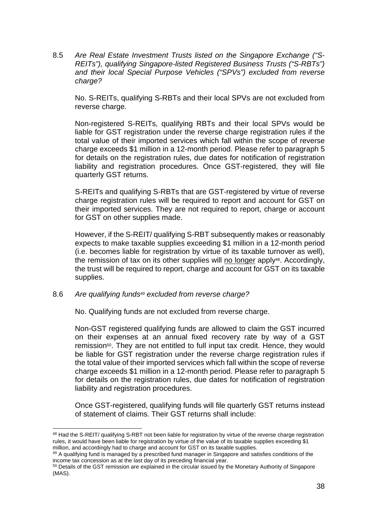8.5 *Are Real Estate Investment Trusts listed on the Singapore Exchange ("S-REITs"), qualifying Singapore-listed Registered Business Trusts ("S-RBTs") and their local Special Purpose Vehicles ("SPVs") excluded from reverse charge?* 

No. S-REITs, qualifying S-RBTs and their local SPVs are not excluded from reverse charge.

Non-registered S-REITs, qualifying RBTs and their local SPVs would be liable for GST registration under the reverse charge registration rules if the total value of their imported services which fall within the scope of reverse charge exceeds \$1 million in a 12-month period. Please refer to paragraph 5 for details on the registration rules, due dates for notification of registration liability and registration procedures. Once GST-registered, they will file quarterly GST returns.

S-REITs and qualifying S-RBTs that are GST-registered by virtue of reverse charge registration rules will be required to report and account for GST on their imported services. They are not required to report, charge or account for GST on other supplies made.

However, if the S-REIT/ qualifying S-RBT subsequently makes or reasonably expects to make taxable supplies exceeding \$1 million in a 12-month period (i.e. becomes liable for registration by virtue of its taxable turnover as well), the remission of tax on its other supplies will no longer apply48. Accordingly, the trust will be required to report, charge and account for GST on its taxable supplies.

## 8.6 *Are qualifying funds49 excluded from reverse charge?*

No. Qualifying funds are not excluded from reverse charge.

Non-GST registered qualifying funds are allowed to claim the GST incurred on their expenses at an annual fixed recovery rate by way of a GST remission<sup>50</sup>. They are not entitled to full input tax credit. Hence, they would be liable for GST registration under the reverse charge registration rules if the total value of their imported services which fall within the scope of reverse charge exceeds \$1 million in a 12-month period. Please refer to paragraph 5 for details on the registration rules, due dates for notification of registration liability and registration procedures.

Once GST-registered, qualifying funds will file quarterly GST returns instead of statement of claims. Their GST returns shall include:

<sup>48</sup> Had the S-REIT/ qualifying S-RBT not been liable for registration by virtue of the reverse charge registration rules, it would have been liable for registration by virtue of the value of its taxable supplies exceeding \$1 million, and accordingly had to charge and account for GST on its taxable supplies.

<sup>49</sup> A qualifying fund is managed by a prescribed fund manager in Singapore and satisfies conditions of the income tax concession as at the last day of its preceding financial year.

<sup>&</sup>lt;sup>50</sup> Details of the GST remission are explained in the circular issued by the Monetary Authority of Singapore (MAS).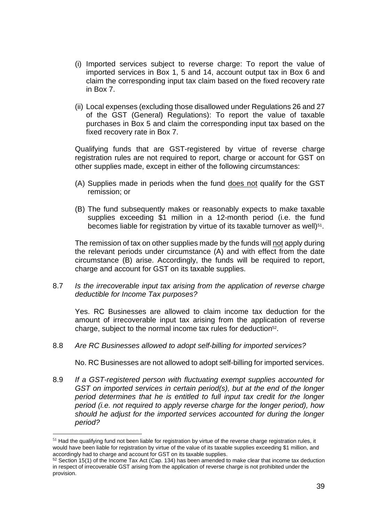- (i) Imported services subject to reverse charge: To report the value of imported services in Box 1, 5 and 14, account output tax in Box 6 and claim the corresponding input tax claim based on the fixed recovery rate in Box 7.
- (ii) Local expenses (excluding those disallowed under Regulations 26 and 27 of the GST (General) Regulations): To report the value of taxable purchases in Box 5 and claim the corresponding input tax based on the fixed recovery rate in Box 7.

Qualifying funds that are GST-registered by virtue of reverse charge registration rules are not required to report, charge or account for GST on other supplies made, except in either of the following circumstances:

- (A) Supplies made in periods when the fund does not qualify for the GST remission; or
- (B) The fund subsequently makes or reasonably expects to make taxable supplies exceeding \$1 million in a 12-month period (i.e. the fund becomes liable for registration by virtue of its taxable turnover as well)<sup>51</sup>.

The remission of tax on other supplies made by the funds will not apply during the relevant periods under circumstance (A) and with effect from the date circumstance (B) arise. Accordingly, the funds will be required to report, charge and account for GST on its taxable supplies.

8.7 *Is the irrecoverable input tax arising from the application of reverse charge deductible for Income Tax purposes?* 

Yes. RC Businesses are allowed to claim income tax deduction for the amount of irrecoverable input tax arising from the application of reverse charge, subject to the normal income tax rules for deduction<sup>52</sup>.

8.8 *Are RC Businesses allowed to adopt self-billing for imported services?* 

No. RC Businesses are not allowed to adopt self-billing for imported services.

8.9 *If a GST-registered person with fluctuating exempt supplies accounted for GST on imported services in certain period(s), but at the end of the longer period determines that he is entitled to full input tax credit for the longer period (i.e. not required to apply reverse charge for the longer period), how should he adjust for the imported services accounted for during the longer period?* 

 $51$  Had the qualifying fund not been liable for registration by virtue of the reverse charge registration rules, it would have been liable for registration by virtue of the value of its taxable supplies exceeding \$1 million, and accordingly had to charge and account for GST on its taxable supplies.

 $52$  Section 15(1) of the Income Tax Act (Cap. 134) has been amended to make clear that income tax deduction in respect of irrecoverable GST arising from the application of reverse charge is not prohibited under the provision.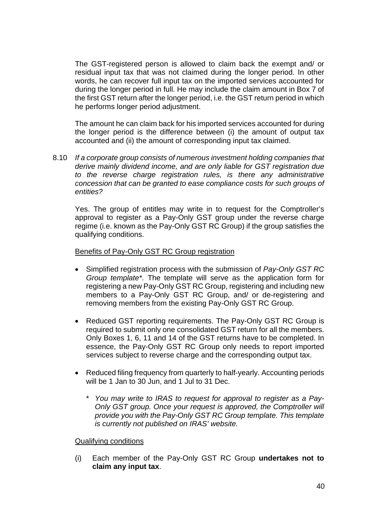The GST-registered person is allowed to claim back the exempt and/ or residual input tax that was not claimed during the longer period. In other words, he can recover full input tax on the imported services accounted for during the longer period in full. He may include the claim amount in Box 7 of the first GST return after the longer period, i.e. the GST return period in which he performs longer period adjustment.

The amount he can claim back for his imported services accounted for during the longer period is the difference between (i) the amount of output tax accounted and (ii) the amount of corresponding input tax claimed.

8.10 *If a corporate group consists of numerous investment holding companies that derive mainly dividend income, and are only liable for GST registration due to the reverse charge registration rules, is there any administrative concession that can be granted to ease compliance costs for such groups of entities?* 

Yes. The group of entitles may write in to request for the Comptroller's approval to register as a Pay-Only GST group under the reverse charge regime (i.e. known as the Pay-Only GST RC Group) if the group satisfies the qualifying conditions.

## Benefits of Pay-Only GST RC Group registration

- Simplified registration process with the submission of *Pay-Only GST RC Group template\*.* The template will serve as the application form for registering a new Pay-Only GST RC Group, registering and including new members to a Pay-Only GST RC Group, and/ or de-registering and removing members from the existing Pay-Only GST RC Group.
- Reduced GST reporting requirements. The Pay-Only GST RC Group is required to submit only one consolidated GST return for all the members. Only Boxes 1, 6, 11 and 14 of the GST returns have to be completed. In essence, the Pay-Only GST RC Group only needs to report imported services subject to reverse charge and the corresponding output tax.
- Reduced filing frequency from quarterly to half-yearly. Accounting periods will be 1 Jan to 30 Jun, and 1 Jul to 31 Dec.
	- \* *You may write to IRAS to request for approval to register as a Pay-Only GST group. Once your request is approved, the Comptroller will provide you with the Pay-Only GST RC Group template. This template is currently not published on IRAS' website.*

#### Qualifying conditions

(i) Each member of the Pay-Only GST RC Group **undertakes not to claim any input tax**.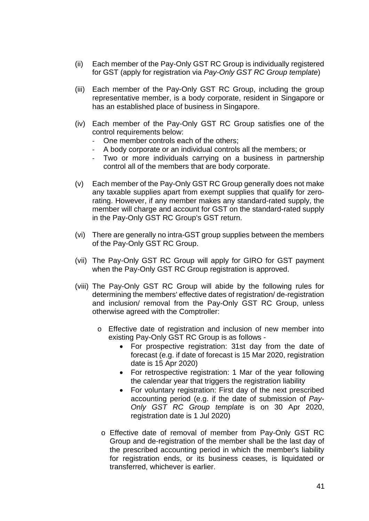- (ii) Each member of the Pay-Only GST RC Group is individually registered for GST (apply for registration via *Pay-Only GST RC Group template*)
- (iii) Each member of the Pay-Only GST RC Group, including the group representative member, is a body corporate, resident in Singapore or has an established place of business in Singapore.
- (iv) Each member of the Pay-Only GST RC Group satisfies one of the control requirements below:
	- One member controls each of the others;
	- A body corporate or an individual controls all the members; or
	- Two or more individuals carrying on a business in partnership control all of the members that are body corporate.
- (v) Each member of the Pay-Only GST RC Group generally does not make any taxable supplies apart from exempt supplies that qualify for zerorating. However, if any member makes any standard-rated supply, the member will charge and account for GST on the standard-rated supply in the Pay-Only GST RC Group's GST return.
- (vi) There are generally no intra-GST group supplies between the members of the Pay-Only GST RC Group.
- (vii) The Pay-Only GST RC Group will apply for GIRO for GST payment when the Pay-Only GST RC Group registration is approved.
- (viii) The Pay-Only GST RC Group will abide by the following rules for determining the members' effective dates of registration/ de-registration and inclusion/ removal from the Pay-Only GST RC Group, unless otherwise agreed with the Comptroller:
	- o Effective date of registration and inclusion of new member into existing Pay-Only GST RC Group is as follows -
		- For prospective registration: 31st day from the date of forecast (e.g. if date of forecast is 15 Mar 2020, registration date is 15 Apr 2020)
		- For retrospective registration: 1 Mar of the year following the calendar year that triggers the registration liability
		- For voluntary registration: First day of the next prescribed accounting period (e.g. if the date of submission of *Pay-Only GST RC Group template* is on 30 Apr 2020, registration date is 1 Jul 2020)
		- o Effective date of removal of member from Pay-Only GST RC Group and de-registration of the member shall be the last day of the prescribed accounting period in which the member's liability for registration ends, or its business ceases, is liquidated or transferred, whichever is earlier.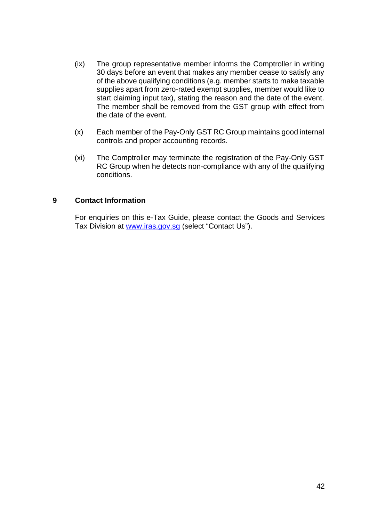- (ix) The group representative member informs the Comptroller in writing 30 days before an event that makes any member cease to satisfy any of the above qualifying conditions (e.g. member starts to make taxable supplies apart from zero-rated exempt supplies, member would like to start claiming input tax), stating the reason and the date of the event. The member shall be removed from the GST group with effect from the date of the event.
- (x) Each member of the Pay-Only GST RC Group maintains good internal controls and proper accounting records.
- (xi) The Comptroller may terminate the registration of the Pay-Only GST RC Group when he detects non-compliance with any of the qualifying conditions.

## <span id="page-41-0"></span>**9 Contact Information**

<span id="page-41-1"></span>For enquiries on this e-Tax Guide, please contact the Goods and Services Tax Division at [www.iras.gov.sg](http://www.iras.gov.sg/) (select "Contact Us").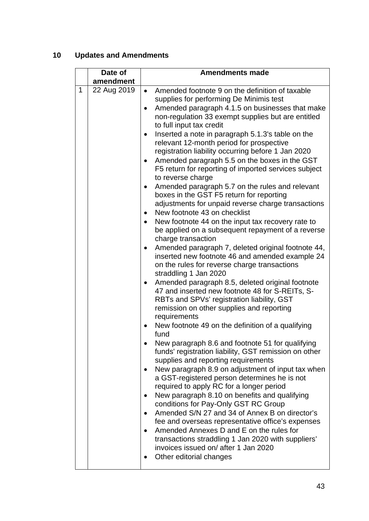# **10 Updates and Amendments**

|   | Date of     | <b>Amendments made</b>                                                                              |  |  |  |
|---|-------------|-----------------------------------------------------------------------------------------------------|--|--|--|
|   | amendment   |                                                                                                     |  |  |  |
| 1 | 22 Aug 2019 | Amended footnote 9 on the definition of taxable<br>$\bullet$                                        |  |  |  |
|   |             | supplies for performing De Minimis test                                                             |  |  |  |
|   |             | Amended paragraph 4.1.5 on businesses that make<br>$\bullet$                                        |  |  |  |
|   |             | non-regulation 33 exempt supplies but are entitled                                                  |  |  |  |
|   |             | to full input tax credit                                                                            |  |  |  |
|   |             | Inserted a note in paragraph 5.1.3's table on the                                                   |  |  |  |
|   |             | relevant 12-month period for prospective                                                            |  |  |  |
|   |             | registration liability occurring before 1 Jan 2020                                                  |  |  |  |
|   |             | Amended paragraph 5.5 on the boxes in the GST                                                       |  |  |  |
|   |             | F5 return for reporting of imported services subject                                                |  |  |  |
|   |             | to reverse charge                                                                                   |  |  |  |
|   |             | Amended paragraph 5.7 on the rules and relevant<br>٠                                                |  |  |  |
|   |             | boxes in the GST F5 return for reporting                                                            |  |  |  |
|   |             | adjustments for unpaid reverse charge transactions                                                  |  |  |  |
|   |             | New footnote 43 on checklist                                                                        |  |  |  |
|   |             | New footnote 44 on the input tax recovery rate to                                                   |  |  |  |
|   |             | be applied on a subsequent repayment of a reverse                                                   |  |  |  |
|   |             | charge transaction                                                                                  |  |  |  |
|   |             | Amended paragraph 7, deleted original footnote 44,                                                  |  |  |  |
|   |             | inserted new footnote 46 and amended example 24                                                     |  |  |  |
|   |             | on the rules for reverse charge transactions                                                        |  |  |  |
|   |             | straddling 1 Jan 2020                                                                               |  |  |  |
|   |             | Amended paragraph 8.5, deleted original footnote<br>47 and inserted new footnote 48 for S-REITs, S- |  |  |  |
|   |             | RBTs and SPVs' registration liability, GST                                                          |  |  |  |
|   |             | remission on other supplies and reporting                                                           |  |  |  |
|   |             | requirements                                                                                        |  |  |  |
|   |             | New footnote 49 on the definition of a qualifying                                                   |  |  |  |
|   |             | fund                                                                                                |  |  |  |
|   |             | New paragraph 8.6 and footnote 51 for qualifying                                                    |  |  |  |
|   |             | funds' registration liability, GST remission on other                                               |  |  |  |
|   |             | supplies and reporting requirements                                                                 |  |  |  |
|   |             | New paragraph 8.9 on adjustment of input tax when<br>$\bullet$                                      |  |  |  |
|   |             | a GST-registered person determines he is not                                                        |  |  |  |
|   |             | required to apply RC for a longer period                                                            |  |  |  |
|   |             | New paragraph 8.10 on benefits and qualifying                                                       |  |  |  |
|   |             | conditions for Pay-Only GST RC Group                                                                |  |  |  |
|   |             | Amended S/N 27 and 34 of Annex B on director's                                                      |  |  |  |
|   |             | fee and overseas representative office's expenses                                                   |  |  |  |
|   |             | Amended Annexes D and E on the rules for                                                            |  |  |  |
|   |             | transactions straddling 1 Jan 2020 with suppliers'                                                  |  |  |  |
|   |             | invoices issued on/after 1 Jan 2020                                                                 |  |  |  |
|   |             | Other editorial changes                                                                             |  |  |  |
|   |             |                                                                                                     |  |  |  |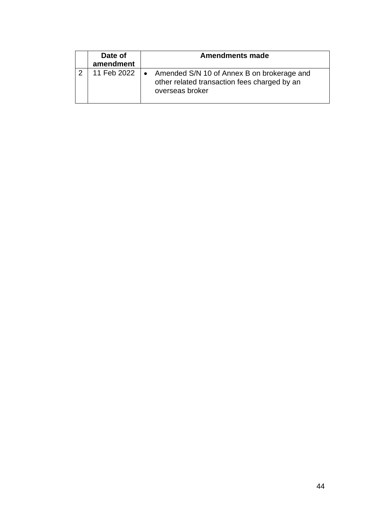<span id="page-43-0"></span>

| Date of<br>amendment | <b>Amendments made</b>                                                                                        |
|----------------------|---------------------------------------------------------------------------------------------------------------|
| 11 Feb 2022          | Amended S/N 10 of Annex B on brokerage and<br>other related transaction fees charged by an<br>overseas broker |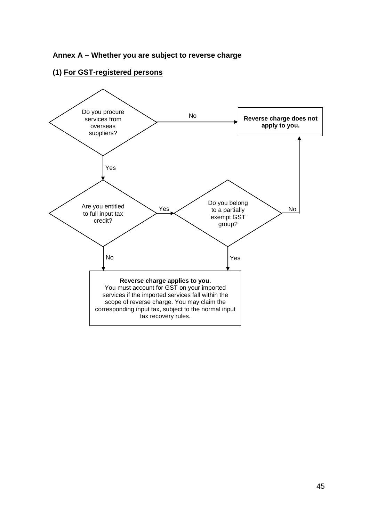

## **(1) For GST-registered persons**

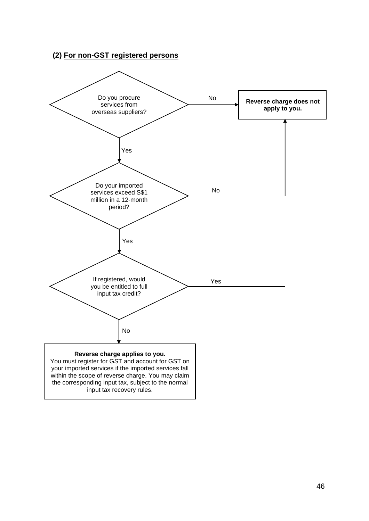## **(2) For non-GST registered persons**

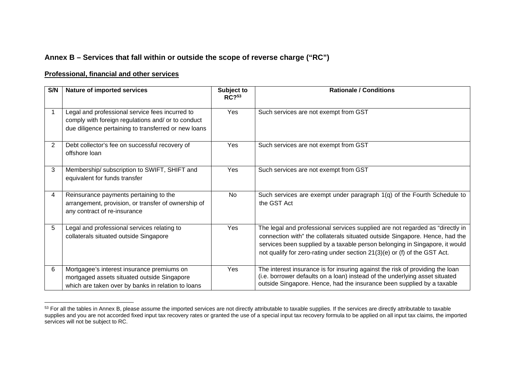## **Annex B – Services that fall within or outside the scope of reverse charge ("RC")**

#### **Professional, financial and other services**

| S/N            | Nature of imported services                                                                                                                                   | Subject to<br>RC <sup>53</sup> | <b>Rationale / Conditions</b>                                                                                                                                                                                                                                                                                            |
|----------------|---------------------------------------------------------------------------------------------------------------------------------------------------------------|--------------------------------|--------------------------------------------------------------------------------------------------------------------------------------------------------------------------------------------------------------------------------------------------------------------------------------------------------------------------|
|                | Legal and professional service fees incurred to<br>comply with foreign regulations and/ or to conduct<br>due diligence pertaining to transferred or new loans | Yes                            | Such services are not exempt from GST                                                                                                                                                                                                                                                                                    |
| $\overline{2}$ | Debt collector's fee on successful recovery of<br>offshore loan                                                                                               | Yes                            | Such services are not exempt from GST                                                                                                                                                                                                                                                                                    |
| 3              | Membership/ subscription to SWIFT, SHIFT and<br>equivalent for funds transfer                                                                                 | Yes                            | Such services are not exempt from GST                                                                                                                                                                                                                                                                                    |
| 4              | Reinsurance payments pertaining to the<br>arrangement, provision, or transfer of ownership of<br>any contract of re-insurance                                 | No                             | Such services are exempt under paragraph 1(q) of the Fourth Schedule to<br>the GST Act                                                                                                                                                                                                                                   |
| 5              | Legal and professional services relating to<br>collaterals situated outside Singapore                                                                         | Yes                            | The legal and professional services supplied are not regarded as "directly in<br>connection with" the collaterals situated outside Singapore. Hence, had the<br>services been supplied by a taxable person belonging in Singapore, it would<br>not qualify for zero-rating under section 21(3)(e) or (f) of the GST Act. |
| 6              | Mortgagee's interest insurance premiums on<br>mortgaged assets situated outside Singapore<br>which are taken over by banks in relation to loans               | Yes                            | The interest insurance is for insuring against the risk of providing the loan<br>(i.e. borrower defaults on a loan) instead of the underlying asset situated<br>outside Singapore. Hence, had the insurance been supplied by a taxable                                                                                   |

<span id="page-46-0"></span> $53$  For all the tables in Annex B, please assume the imported services are not directly attributable to taxable supplies. If the services are directly attributable to taxable supplies and you are not accorded fixed input tax recovery rates or granted the use of a special input tax recovery formula to be applied on all input tax claims, the imported services will not be subject to RC.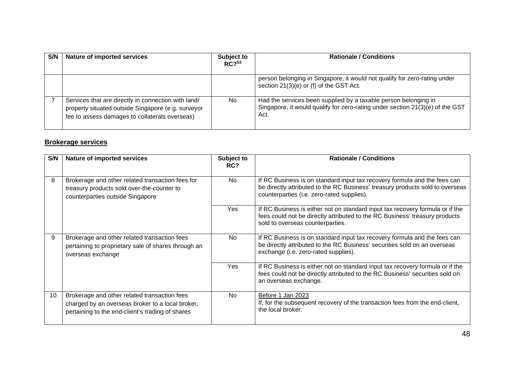| S/N | Nature of imported services                                                                                                                                 | Subject to<br>RC <sup>53</sup> | <b>Rationale / Conditions</b>                                                                                                                            |
|-----|-------------------------------------------------------------------------------------------------------------------------------------------------------------|--------------------------------|----------------------------------------------------------------------------------------------------------------------------------------------------------|
|     |                                                                                                                                                             |                                | person belonging in Singapore, it would not qualify for zero-rating under<br>section 21(3)(e) or (f) of the GST Act.                                     |
|     | Services that are directly in connection with land/<br>property situated outside Singapore (e.g. surveyor<br>fee to assess damages to collaterals overseas) | No.                            | Had the services been supplied by a taxable person belonging in<br>Singapore, it would qualify for zero-rating under section 21(3)(e) of the GST<br>Act. |

#### **Brokerage services**

| S/N | Nature of imported services                                                                                                                          | Subject to<br>RC? | <b>Rationale / Conditions</b>                                                                                                                                                                            |
|-----|------------------------------------------------------------------------------------------------------------------------------------------------------|-------------------|----------------------------------------------------------------------------------------------------------------------------------------------------------------------------------------------------------|
| 8   | Brokerage and other related transaction fees for<br>treasury products sold over-the-counter to<br>counterparties outside Singapore                   | No.               | If RC Business is on standard input tax recovery formula and the fees can<br>be directly attributed to the RC Business' treasury products sold to overseas<br>counterparties (i.e. zero-rated supplies). |
|     |                                                                                                                                                      | Yes               | If RC Business is either not on standard input tax recovery formula or if the<br>fees could not be directly attributed to the RC Business' treasury products<br>sold to overseas counterparties.         |
| 9   | Brokerage and other related transaction fees<br>pertaining to proprietary sale of shares through an<br>overseas exchange                             | No                | If RC Business is on standard input tax recovery formula and the fees can<br>be directly attributed to the RC Business' securities sold on an overseas<br>exchange (i.e. zero-rated supplies).           |
|     |                                                                                                                                                      | Yes               | If RC Business is either not on standard input tax recovery formula or if the<br>fees could not be directly attributed to the RC Business' securities sold on<br>an overseas exchange.                   |
| 10  | Brokerage and other related transaction fees<br>charged by an overseas broker to a local broker,<br>pertaining to the end-client's trading of shares | <b>No</b>         | Before 1 Jan 2023<br>If, for the subsequent recovery of the transaction fees from the end-client,<br>the local broker:                                                                                   |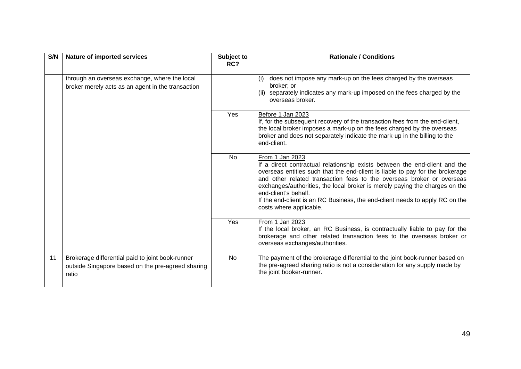| S/N | Nature of imported services                                                                                    | Subject to<br>RC? | <b>Rationale / Conditions</b>                                                                                                                                                                                                                                                                                                                                                                                                                                             |
|-----|----------------------------------------------------------------------------------------------------------------|-------------------|---------------------------------------------------------------------------------------------------------------------------------------------------------------------------------------------------------------------------------------------------------------------------------------------------------------------------------------------------------------------------------------------------------------------------------------------------------------------------|
|     | through an overseas exchange, where the local<br>broker merely acts as an agent in the transaction             |                   | does not impose any mark-up on the fees charged by the overseas<br>(i)<br>broker; or<br>separately indicates any mark-up imposed on the fees charged by the<br>(ii)<br>overseas broker.                                                                                                                                                                                                                                                                                   |
|     |                                                                                                                | Yes               | Before 1 Jan 2023<br>If, for the subsequent recovery of the transaction fees from the end-client,<br>the local broker imposes a mark-up on the fees charged by the overseas<br>broker and does not separately indicate the mark-up in the billing to the<br>end-client.                                                                                                                                                                                                   |
|     |                                                                                                                | <b>No</b>         | From 1 Jan 2023<br>If a direct contractual relationship exists between the end-client and the<br>overseas entities such that the end-client is liable to pay for the brokerage<br>and other related transaction fees to the overseas broker or overseas<br>exchanges/authorities, the local broker is merely paying the charges on the<br>end-client's behalf.<br>If the end-client is an RC Business, the end-client needs to apply RC on the<br>costs where applicable. |
|     |                                                                                                                | Yes               | From 1 Jan 2023<br>If the local broker, an RC Business, is contractually liable to pay for the<br>brokerage and other related transaction fees to the overseas broker or<br>overseas exchanges/authorities.                                                                                                                                                                                                                                                               |
| 11  | Brokerage differential paid to joint book-runner<br>outside Singapore based on the pre-agreed sharing<br>ratio | <b>No</b>         | The payment of the brokerage differential to the joint book-runner based on<br>the pre-agreed sharing ratio is not a consideration for any supply made by<br>the joint booker-runner.                                                                                                                                                                                                                                                                                     |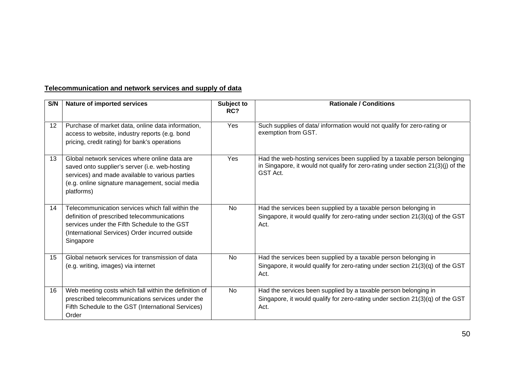## **Telecommunication and network services and supply of data**

| S/N | Nature of imported services                                                                                                                                                                                         | Subject to<br>RC? | <b>Rationale / Conditions</b>                                                                                                                                            |
|-----|---------------------------------------------------------------------------------------------------------------------------------------------------------------------------------------------------------------------|-------------------|--------------------------------------------------------------------------------------------------------------------------------------------------------------------------|
| 12  | Purchase of market data, online data information,<br>access to website, industry reports (e.g. bond<br>pricing, credit rating) for bank's operations                                                                | Yes               | Such supplies of data/ information would not qualify for zero-rating or<br>exemption from GST.                                                                           |
| 13  | Global network services where online data are<br>saved onto supplier's server (i.e. web-hosting<br>services) and made available to various parties<br>(e.g. online signature management, social media<br>platforms) | Yes               | Had the web-hosting services been supplied by a taxable person belonging<br>in Singapore, it would not qualify for zero-rating under section 21(3)(j) of the<br>GST Act. |
| 14  | Telecommunication services which fall within the<br>definition of prescribed telecommunications<br>services under the Fifth Schedule to the GST<br>(International Services) Order incurred outside<br>Singapore     | <b>No</b>         | Had the services been supplied by a taxable person belonging in<br>Singapore, it would qualify for zero-rating under section 21(3)(q) of the GST<br>Act.                 |
| 15  | Global network services for transmission of data<br>(e.g. writing, images) via internet                                                                                                                             | <b>No</b>         | Had the services been supplied by a taxable person belonging in<br>Singapore, it would qualify for zero-rating under section 21(3)(q) of the GST<br>Act.                 |
| 16  | Web meeting costs which fall within the definition of<br>prescribed telecommunications services under the<br>Fifth Schedule to the GST (International Services)<br>Order                                            | <b>No</b>         | Had the services been supplied by a taxable person belonging in<br>Singapore, it would qualify for zero-rating under section 21(3)(q) of the GST<br>Act.                 |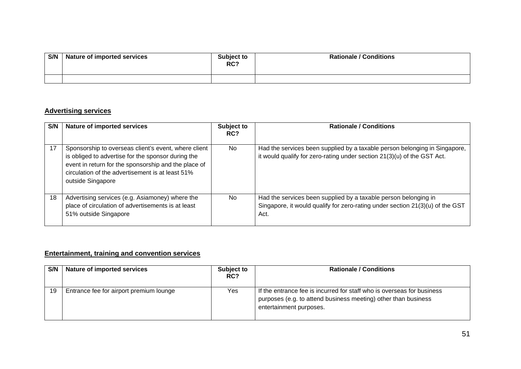| S/N | Nature of imported services | Subject to<br>RC? | <b>Rationale / Conditions</b> |
|-----|-----------------------------|-------------------|-------------------------------|
|     |                             |                   |                               |

#### **Advertising services**

| S/N | Nature of imported services                                                                                                                                                                                                                 | Subject to<br>RC? | <b>Rationale / Conditions</b>                                                                                                                            |
|-----|---------------------------------------------------------------------------------------------------------------------------------------------------------------------------------------------------------------------------------------------|-------------------|----------------------------------------------------------------------------------------------------------------------------------------------------------|
| 17  | Sponsorship to overseas client's event, where client<br>is obliged to advertise for the sponsor during the<br>event in return for the sponsorship and the place of<br>circulation of the advertisement is at least 51%<br>outside Singapore | No.               | Had the services been supplied by a taxable person belonging in Singapore,<br>it would qualify for zero-rating under section 21(3)(u) of the GST Act.    |
| 18  | Advertising services (e.g. Asiamoney) where the<br>place of circulation of advertisements is at least<br>51% outside Singapore                                                                                                              | No.               | Had the services been supplied by a taxable person belonging in<br>Singapore, it would qualify for zero-rating under section 21(3)(u) of the GST<br>Act. |

# **Entertainment, training and convention services**

| S/N | <b>Nature of imported services</b>      | Subject to<br>RC? | <b>Rationale / Conditions</b>                                                                                                                                       |
|-----|-----------------------------------------|-------------------|---------------------------------------------------------------------------------------------------------------------------------------------------------------------|
| 19  | Entrance fee for airport premium lounge | Yes               | If the entrance fee is incurred for staff who is overseas for business<br>purposes (e.g. to attend business meeting) other than business<br>entertainment purposes. |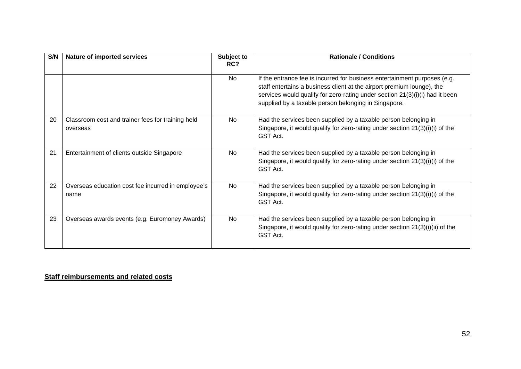| S/N | <b>Nature of imported services</b>                            | Subject to<br>RC? | <b>Rationale / Conditions</b>                                                                                                                                                                                                                                                               |
|-----|---------------------------------------------------------------|-------------------|---------------------------------------------------------------------------------------------------------------------------------------------------------------------------------------------------------------------------------------------------------------------------------------------|
|     |                                                               | <b>No</b>         | If the entrance fee is incurred for business entertainment purposes (e.g.<br>staff entertains a business client at the airport premium lounge), the<br>services would qualify for zero-rating under section 21(3)(i)(i) had it been<br>supplied by a taxable person belonging in Singapore. |
| 20  | Classroom cost and trainer fees for training held<br>overseas | <b>No</b>         | Had the services been supplied by a taxable person belonging in<br>Singapore, it would qualify for zero-rating under section 21(3)(i)(i) of the<br>GST Act.                                                                                                                                 |
| 21  | Entertainment of clients outside Singapore                    | <b>No</b>         | Had the services been supplied by a taxable person belonging in<br>Singapore, it would qualify for zero-rating under section 21(3)(i)(i) of the<br>GST Act.                                                                                                                                 |
| 22  | Overseas education cost fee incurred in employee's<br>name    | <b>No</b>         | Had the services been supplied by a taxable person belonging in<br>Singapore, it would qualify for zero-rating under section 21(3)(i)(i) of the<br>GST Act.                                                                                                                                 |
| 23  | Overseas awards events (e.g. Euromoney Awards)                | <b>No</b>         | Had the services been supplied by a taxable person belonging in<br>Singapore, it would qualify for zero-rating under section 21(3)(i)(ii) of the<br>GST Act.                                                                                                                                |

**Staff reimbursements and related costs**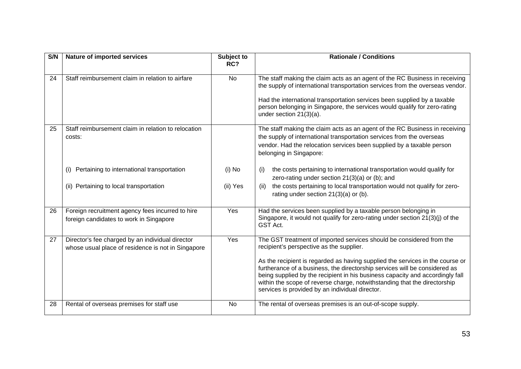| S/N | <b>Nature of imported services</b>                                                                     | Subject to<br>RC? | <b>Rationale / Conditions</b>                                                                                                                                                                                                                                                                                                                                                |
|-----|--------------------------------------------------------------------------------------------------------|-------------------|------------------------------------------------------------------------------------------------------------------------------------------------------------------------------------------------------------------------------------------------------------------------------------------------------------------------------------------------------------------------------|
| 24  | Staff reimbursement claim in relation to airfare                                                       | <b>No</b>         | The staff making the claim acts as an agent of the RC Business in receiving<br>the supply of international transportation services from the overseas vendor.<br>Had the international transportation services been supplied by a taxable<br>person belonging in Singapore, the services would qualify for zero-rating<br>under section $21(3)(a)$ .                          |
| 25  | Staff reimbursement claim in relation to relocation<br>costs:                                          |                   | The staff making the claim acts as an agent of the RC Business in receiving<br>the supply of international transportation services from the overseas<br>vendor. Had the relocation services been supplied by a taxable person<br>belonging in Singapore:                                                                                                                     |
|     | Pertaining to international transportation<br>(i)                                                      | $(i)$ No          | the costs pertaining to international transportation would qualify for<br>(i)<br>zero-rating under section 21(3)(a) or (b); and                                                                                                                                                                                                                                              |
|     | (ii) Pertaining to local transportation                                                                | (ii) Yes          | the costs pertaining to local transportation would not qualify for zero-<br>(ii)<br>rating under section 21(3)(a) or (b).                                                                                                                                                                                                                                                    |
| 26  | Foreign recruitment agency fees incurred to hire<br>foreign candidates to work in Singapore            | Yes               | Had the services been supplied by a taxable person belonging in<br>Singapore, it would not qualify for zero-rating under section 21(3)(j) of the<br>GST Act.                                                                                                                                                                                                                 |
| 27  | Director's fee charged by an individual director<br>whose usual place of residence is not in Singapore | Yes               | The GST treatment of imported services should be considered from the<br>recipient's perspective as the supplier.                                                                                                                                                                                                                                                             |
|     |                                                                                                        |                   | As the recipient is regarded as having supplied the services in the course or<br>furtherance of a business, the directorship services will be considered as<br>being supplied by the recipient in his business capacity and accordingly fall<br>within the scope of reverse charge, notwithstanding that the directorship<br>services is provided by an individual director. |
| 28  | Rental of overseas premises for staff use                                                              | No                | The rental of overseas premises is an out-of-scope supply.                                                                                                                                                                                                                                                                                                                   |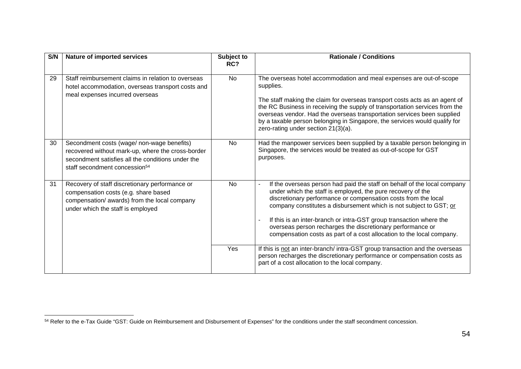| S/N | <b>Nature of imported services</b>                                                                                                                                                                | Subject to<br>RC? | <b>Rationale / Conditions</b>                                                                                                                                                                                                                                                                                                                                                                                                                                                                 |
|-----|---------------------------------------------------------------------------------------------------------------------------------------------------------------------------------------------------|-------------------|-----------------------------------------------------------------------------------------------------------------------------------------------------------------------------------------------------------------------------------------------------------------------------------------------------------------------------------------------------------------------------------------------------------------------------------------------------------------------------------------------|
| 29  | Staff reimbursement claims in relation to overseas<br>hotel accommodation, overseas transport costs and<br>meal expenses incurred overseas                                                        | <b>No</b>         | The overseas hotel accommodation and meal expenses are out-of-scope<br>supplies.<br>The staff making the claim for overseas transport costs acts as an agent of<br>the RC Business in receiving the supply of transportation services from the<br>overseas vendor. Had the overseas transportation services been supplied<br>by a taxable person belonging in Singapore, the services would qualify for<br>zero-rating under section 21(3)(a).                                                |
| 30  | Secondment costs (wage/ non-wage benefits)<br>recovered without mark-up, where the cross-border<br>secondment satisfies all the conditions under the<br>staff secondment concession <sup>54</sup> | <b>No</b>         | Had the manpower services been supplied by a taxable person belonging in<br>Singapore, the services would be treated as out-of-scope for GST<br>purposes.                                                                                                                                                                                                                                                                                                                                     |
| 31  | Recovery of staff discretionary performance or<br>compensation costs (e.g. share based<br>compensation/ awards) from the local company<br>under which the staff is employed                       | <b>No</b>         | If the overseas person had paid the staff on behalf of the local company<br>under which the staff is employed, the pure recovery of the<br>discretionary performance or compensation costs from the local<br>company constitutes a disbursement which is not subject to GST; or<br>If this is an inter-branch or intra-GST group transaction where the<br>overseas person recharges the discretionary performance or<br>compensation costs as part of a cost allocation to the local company. |
|     |                                                                                                                                                                                                   | Yes               | If this is not an inter-branch/ intra-GST group transaction and the overseas<br>person recharges the discretionary performance or compensation costs as<br>part of a cost allocation to the local company.                                                                                                                                                                                                                                                                                    |

<sup>54</sup> Refer to the e-Tax Guide "GST: Guide on Reimbursement and Disbursement of Expenses" for the conditions under the staff secondment concession.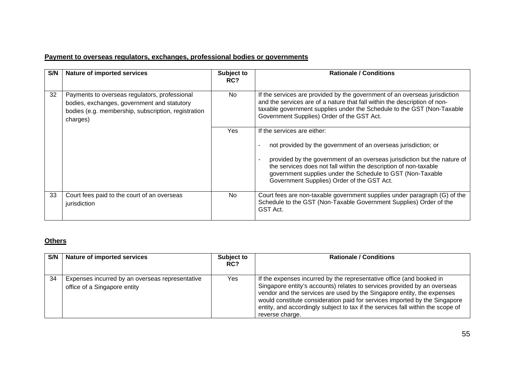## **Payment to overseas regulators, exchanges, professional bodies or governments**

| S/N | Nature of imported services                                                                                                                                     | Subject to<br>RC? | <b>Rationale / Conditions</b>                                                                                                                                                                                                                                                                                                                             |
|-----|-----------------------------------------------------------------------------------------------------------------------------------------------------------------|-------------------|-----------------------------------------------------------------------------------------------------------------------------------------------------------------------------------------------------------------------------------------------------------------------------------------------------------------------------------------------------------|
| 32  | Payments to overseas regulators, professional<br>bodies, exchanges, government and statutory<br>bodies (e.g. membership, subscription, registration<br>charges) | No.               | If the services are provided by the government of an overseas jurisdiction<br>and the services are of a nature that fall within the description of non-<br>taxable government supplies under the Schedule to the GST (Non-Taxable<br>Government Supplies) Order of the GST Act.                                                                           |
|     |                                                                                                                                                                 | Yes               | If the services are either:<br>not provided by the government of an overseas jurisdiction; or<br>provided by the government of an overseas jurisdiction but the nature of<br>the services does not fall within the description of non-taxable<br>government supplies under the Schedule to GST (Non-Taxable<br>Government Supplies) Order of the GST Act. |
| 33  | Court fees paid to the court of an overseas<br>jurisdiction                                                                                                     | No.               | Court fees are non-taxable government supplies under paragraph (G) of the<br>Schedule to the GST (Non-Taxable Government Supplies) Order of the<br>GST Act.                                                                                                                                                                                               |

## **Others**

| S/N | <b>Nature of imported services</b>                                              | Subject to<br>RC? | <b>Rationale / Conditions</b>                                                                                                                                                                                                                                                                                                                                                                                  |
|-----|---------------------------------------------------------------------------------|-------------------|----------------------------------------------------------------------------------------------------------------------------------------------------------------------------------------------------------------------------------------------------------------------------------------------------------------------------------------------------------------------------------------------------------------|
| 34  | Expenses incurred by an overseas representative<br>office of a Singapore entity | Yes               | If the expenses incurred by the representative office (and booked in<br>Singapore entity's accounts) relates to services provided by an overseas<br>vendor and the services are used by the Singapore entity, the expenses<br>would constitute consideration paid for services imported by the Singapore<br>entity, and accordingly subject to tax if the services fall within the scope of<br>reverse charge. |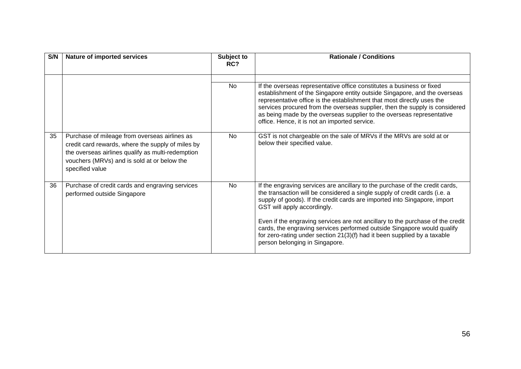| S/N | Nature of imported services                                                                                                                                                                                               | Subject to<br>RC? | <b>Rationale / Conditions</b>                                                                                                                                                                                                                                                                                                                                                                                                                                                                                                                     |
|-----|---------------------------------------------------------------------------------------------------------------------------------------------------------------------------------------------------------------------------|-------------------|---------------------------------------------------------------------------------------------------------------------------------------------------------------------------------------------------------------------------------------------------------------------------------------------------------------------------------------------------------------------------------------------------------------------------------------------------------------------------------------------------------------------------------------------------|
|     |                                                                                                                                                                                                                           | No                | If the overseas representative office constitutes a business or fixed<br>establishment of the Singapore entity outside Singapore, and the overseas<br>representative office is the establishment that most directly uses the<br>services procured from the overseas supplier, then the supply is considered<br>as being made by the overseas supplier to the overseas representative<br>office. Hence, it is not an imported service.                                                                                                             |
| 35  | Purchase of mileage from overseas airlines as<br>credit card rewards, where the supply of miles by<br>the overseas airlines qualify as multi-redemption<br>vouchers (MRVs) and is sold at or below the<br>specified value | <b>No</b>         | GST is not chargeable on the sale of MRVs if the MRVs are sold at or<br>below their specified value.                                                                                                                                                                                                                                                                                                                                                                                                                                              |
| 36  | Purchase of credit cards and engraving services<br>performed outside Singapore                                                                                                                                            | <b>No</b>         | If the engraving services are ancillary to the purchase of the credit cards,<br>the transaction will be considered a single supply of credit cards (i.e. a<br>supply of goods). If the credit cards are imported into Singapore, import<br>GST will apply accordingly.<br>Even if the engraving services are not ancillary to the purchase of the credit<br>cards, the engraving services performed outside Singapore would qualify<br>for zero-rating under section 21(3)(f) had it been supplied by a taxable<br>person belonging in Singapore. |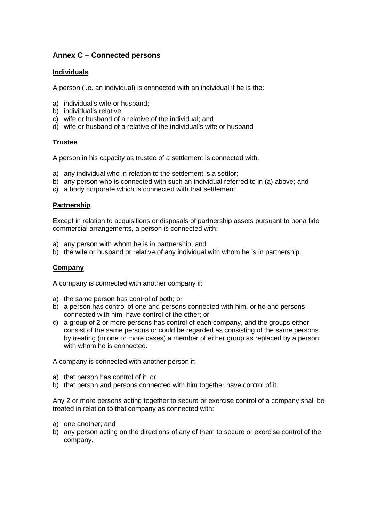## <span id="page-56-0"></span>**Annex C – Connected persons**

#### **Individuals**

A person (i.e. an individual) is connected with an individual if he is the:

- a) individual's wife or husband;
- b) individual's relative;
- c) wife or husband of a relative of the individual; and
- d) wife or husband of a relative of the individual's wife or husband

#### **Trustee**

A person in his capacity as trustee of a settlement is connected with:

- a) any individual who in relation to the settlement is a settlor;
- b) any person who is connected with such an individual referred to in (a) above; and
- c) a body corporate which is connected with that settlement

#### **Partnership**

Except in relation to acquisitions or disposals of partnership assets pursuant to bona fide commercial arrangements, a person is connected with:

- a) any person with whom he is in partnership, and
- b) the wife or husband or relative of any individual with whom he is in partnership.

#### **Company**

A company is connected with another company if:

- a) the same person has control of both; or
- b) a person has control of one and persons connected with him, or he and persons connected with him, have control of the other; or
- c) a group of 2 or more persons has control of each company, and the groups either consist of the same persons or could be regarded as consisting of the same persons by treating (in one or more cases) a member of either group as replaced by a person with whom he is connected.

A company is connected with another person if:

- a) that person has control of it; or
- b) that person and persons connected with him together have control of it.

Any 2 or more persons acting together to secure or exercise control of a company shall be treated in relation to that company as connected with:

- a) one another; and
- b) any person acting on the directions of any of them to secure or exercise control of the company.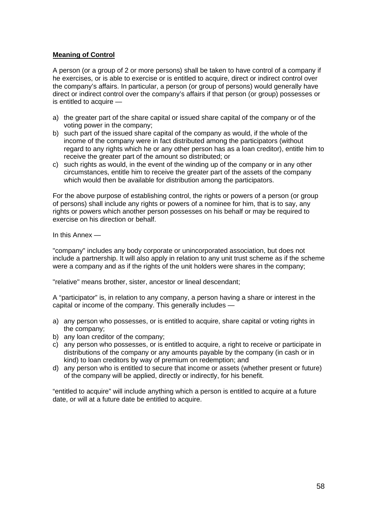#### **Meaning of Control**

A person (or a group of 2 or more persons) shall be taken to have control of a company if he exercises, or is able to exercise or is entitled to acquire, direct or indirect control over the company's affairs. In particular, a person (or group of persons) would generally have direct or indirect control over the company's affairs if that person (or group) possesses or is entitled to acquire  $-$ 

- a) the greater part of the share capital or issued share capital of the company or of the voting power in the company;
- b) such part of the issued share capital of the company as would, if the whole of the income of the company were in fact distributed among the participators (without regard to any rights which he or any other person has as a loan creditor), entitle him to receive the greater part of the amount so distributed; or
- c) such rights as would, in the event of the winding up of the company or in any other circumstances, entitle him to receive the greater part of the assets of the company which would then be available for distribution among the participators.

For the above purpose of establishing control, the rights or powers of a person (or group of persons) shall include any rights or powers of a nominee for him, that is to say, any rights or powers which another person possesses on his behalf or may be required to exercise on his direction or behalf.

In this Annex —

"company" includes any body corporate or unincorporated association, but does not include a partnership. It will also apply in relation to any unit trust scheme as if the scheme were a company and as if the rights of the unit holders were shares in the company;

"relative" means brother, sister, ancestor or lineal descendant;

A "participator" is, in relation to any company, a person having a share or interest in the capital or income of the company. This generally includes —

- a) any person who possesses, or is entitled to acquire, share capital or voting rights in the company;
- b) any loan creditor of the company;
- c) any person who possesses, or is entitled to acquire, a right to receive or participate in distributions of the company or any amounts payable by the company (in cash or in kind) to loan creditors by way of premium on redemption; and
- d) any person who is entitled to secure that income or assets (whether present or future) of the company will be applied, directly or indirectly, for his benefit.

"entitled to acquire" will include anything which a person is entitled to acquire at a future date, or will at a future date be entitled to acquire.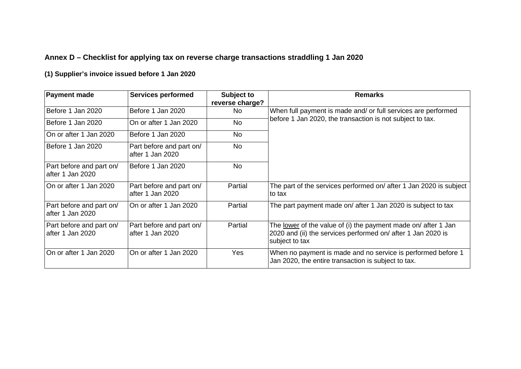# **Annex D – Checklist for applying tax on reverse charge transactions straddling 1 Jan 2020**

# **(1) Supplier's invoice issued before 1 Jan 2020**

<span id="page-58-0"></span>

| <b>Payment made</b>                          | <b>Services performed</b>                    | <b>Subject to</b><br>reverse charge? | <b>Remarks</b>                                                                                                                                          |
|----------------------------------------------|----------------------------------------------|--------------------------------------|---------------------------------------------------------------------------------------------------------------------------------------------------------|
| Before 1 Jan 2020                            | Before 1 Jan 2020                            | No                                   | When full payment is made and/ or full services are performed                                                                                           |
| Before 1 Jan 2020                            | On or after 1 Jan 2020                       | <b>No</b>                            | before 1 Jan 2020, the transaction is not subject to tax.                                                                                               |
| On or after 1 Jan 2020                       | Before 1 Jan 2020                            | <b>No</b>                            |                                                                                                                                                         |
| Before 1 Jan 2020                            | Part before and part on/<br>after 1 Jan 2020 | <b>No</b>                            |                                                                                                                                                         |
| Part before and part on/<br>after 1 Jan 2020 | Before 1 Jan 2020                            | <b>No</b>                            |                                                                                                                                                         |
| On or after 1 Jan 2020                       | Part before and part on/<br>after 1 Jan 2020 | Partial                              | The part of the services performed on/ after 1 Jan 2020 is subject<br>to tax                                                                            |
| Part before and part on/<br>after 1 Jan 2020 | On or after 1 Jan 2020                       | Partial                              | The part payment made on/ after 1 Jan 2020 is subject to tax                                                                                            |
| Part before and part on/<br>after 1 Jan 2020 | Part before and part on/<br>after 1 Jan 2020 | Partial                              | The <u>lower</u> of the value of (i) the payment made on/ after 1 Jan<br>2020 and (ii) the services performed on/ after 1 Jan 2020 is<br>subject to tax |
| On or after 1 Jan 2020                       | On or after 1 Jan 2020                       | Yes                                  | When no payment is made and no service is performed before 1<br>Jan 2020, the entire transaction is subject to tax.                                     |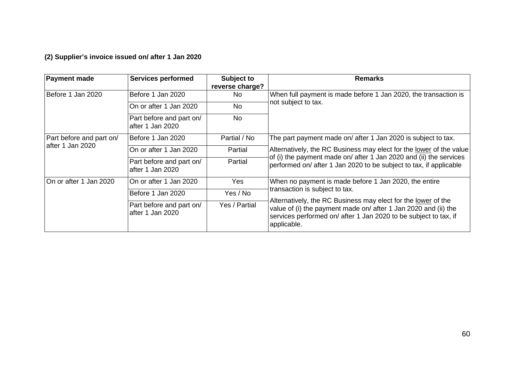**(2) Supplier's invoice issued on/ after 1 Jan 2020** 

| <b>Payment made</b>      | <b>Services performed</b>                    | Subject to<br>reverse charge? | <b>Remarks</b>                                                                                                                                                                                                      |
|--------------------------|----------------------------------------------|-------------------------------|---------------------------------------------------------------------------------------------------------------------------------------------------------------------------------------------------------------------|
| Before 1 Jan 2020        | Before 1 Jan 2020                            | No.                           | When full payment is made before 1 Jan 2020, the transaction is                                                                                                                                                     |
|                          | On or after 1 Jan 2020                       | No                            | not subject to tax.                                                                                                                                                                                                 |
|                          | Part before and part on/<br>after 1 Jan 2020 | No                            |                                                                                                                                                                                                                     |
| Part before and part on/ | Before 1 Jan 2020                            | Partial / No                  | The part payment made on/ after 1 Jan 2020 is subject to tax.                                                                                                                                                       |
| after 1 Jan 2020         | On or after 1 Jan 2020                       | Partial                       | Alternatively, the RC Business may elect for the lower of the value                                                                                                                                                 |
|                          | Part before and part on/<br>after 1 Jan 2020 | Partial                       | of (i) the payment made on/ after 1 Jan 2020 and (ii) the services<br>performed on/ after 1 Jan 2020 to be subject to tax, if applicable                                                                            |
| On or after 1 Jan 2020   | On or after 1 Jan 2020                       | Yes                           | When no payment is made before 1 Jan 2020, the entire                                                                                                                                                               |
|                          | Before 1 Jan 2020                            | Yes / No                      | transaction is subject to tax.                                                                                                                                                                                      |
|                          | Part before and part on/<br>after 1 Jan 2020 | Yes / Partial                 | Alternatively, the RC Business may elect for the lower of the<br>value of (i) the payment made on/ after 1 Jan 2020 and (ii) the<br>services performed on/ after 1 Jan 2020 to be subject to tax, if<br>applicable. |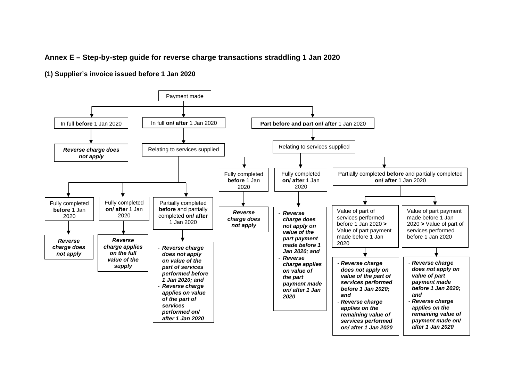#### **Annex E – Step-by-step guide for reverse charge transactions straddling 1 Jan 2020**

**(1) Supplier's invoice issued before 1 Jan 2020** 

<span id="page-60-0"></span>